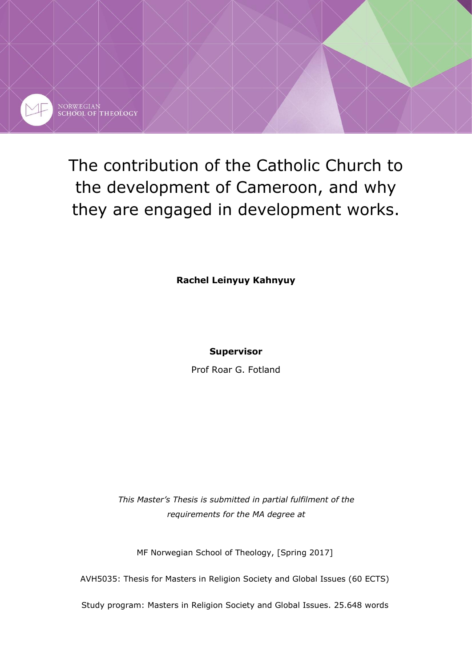

NORWEGIAN<br>SCHOOL OF THEOLOGY

# The contribution of the Catholic Church to the development of Cameroon, and why they are engaged in development works.

**Rachel Leinyuy Kahnyuy**

## **Supervisor**

Prof Roar G. Fotland

*This Master's Thesis is submitted in partial fulfilment of the requirements for the MA degree at*

MF Norwegian School of Theology, [Spring 2017]

AVH5035: Thesis for Masters in Religion Society and Global Issues (60 ECTS)

Study program: Masters in Religion Society and Global Issues. 25.648 words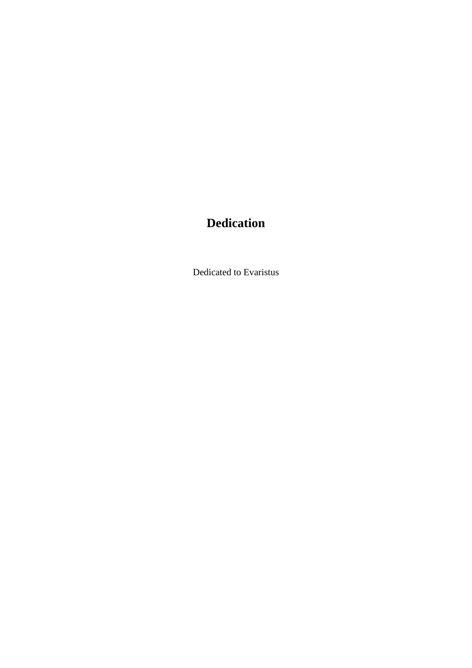## **Dedication**

Dedicated to Evaristus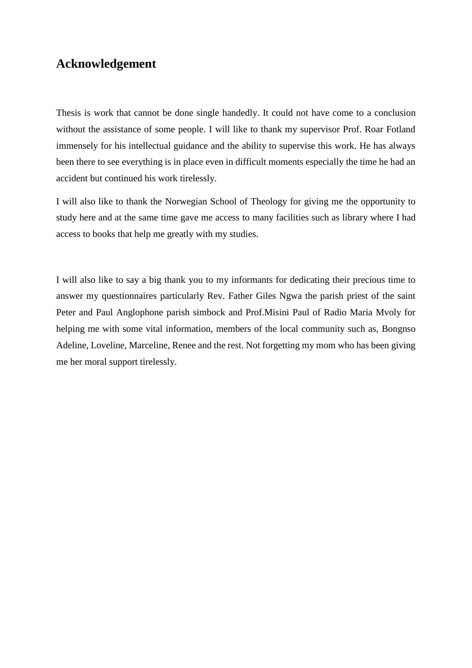## **Acknowledgement**

Thesis is work that cannot be done single handedly. It could not have come to a conclusion without the assistance of some people. I will like to thank my supervisor Prof. Roar Fotland immensely for his intellectual guidance and the ability to supervise this work. He has always been there to see everything is in place even in difficult moments especially the time he had an accident but continued his work tirelessly.

I will also like to thank the Norwegian School of Theology for giving me the opportunity to study here and at the same time gave me access to many facilities such as library where I had access to books that help me greatly with my studies.

I will also like to say a big thank you to my informants for dedicating their precious time to answer my questionnaires particularly Rev. Father Giles Ngwa the parish priest of the saint Peter and Paul Anglophone parish simbock and Prof.Misini Paul of Radio Maria Mvoly for helping me with some vital information, members of the local community such as, Bongnso Adeline, Loveline, Marceline, Renee and the rest. Not forgetting my mom who has been giving me her moral support tirelessly.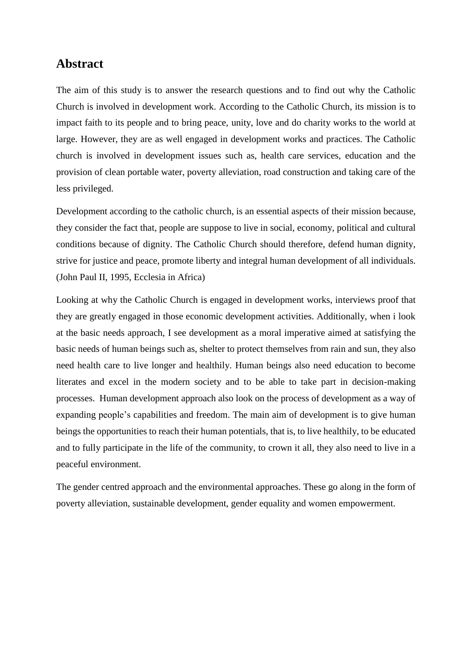## **Abstract**

The aim of this study is to answer the research questions and to find out why the Catholic Church is involved in development work. According to the Catholic Church, its mission is to impact faith to its people and to bring peace, unity, love and do charity works to the world at large. However, they are as well engaged in development works and practices. The Catholic church is involved in development issues such as, health care services, education and the provision of clean portable water, poverty alleviation, road construction and taking care of the less privileged.

Development according to the catholic church, is an essential aspects of their mission because, they consider the fact that, people are suppose to live in social, economy, political and cultural conditions because of dignity. The Catholic Church should therefore, defend human dignity, strive for justice and peace, promote liberty and integral human development of all individuals. (John Paul II, 1995, Ecclesia in Africa)

Looking at why the Catholic Church is engaged in development works, interviews proof that they are greatly engaged in those economic development activities. Additionally, when i look at the basic needs approach, I see development as a moral imperative aimed at satisfying the basic needs of human beings such as, shelter to protect themselves from rain and sun, they also need health care to live longer and healthily. Human beings also need education to become literates and excel in the modern society and to be able to take part in decision-making processes. Human development approach also look on the process of development as a way of expanding people's capabilities and freedom. The main aim of development is to give human beings the opportunities to reach their human potentials, that is, to live healthily, to be educated and to fully participate in the life of the community, to crown it all, they also need to live in a peaceful environment.

The gender centred approach and the environmental approaches. These go along in the form of poverty alleviation, sustainable development, gender equality and women empowerment.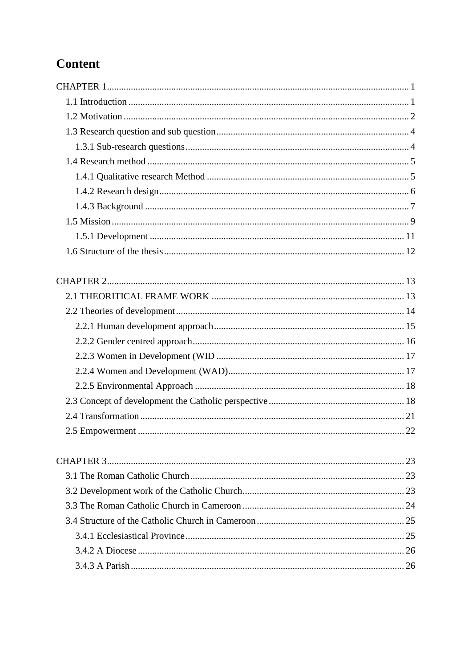## Content

| 23 |  |
|----|--|
|    |  |
|    |  |
|    |  |
|    |  |
|    |  |
|    |  |
|    |  |
|    |  |
|    |  |
|    |  |
|    |  |
|    |  |
|    |  |
|    |  |
|    |  |
|    |  |
|    |  |
|    |  |
|    |  |
|    |  |
|    |  |
|    |  |
|    |  |
|    |  |
|    |  |
|    |  |
|    |  |
|    |  |
|    |  |
|    |  |
|    |  |
|    |  |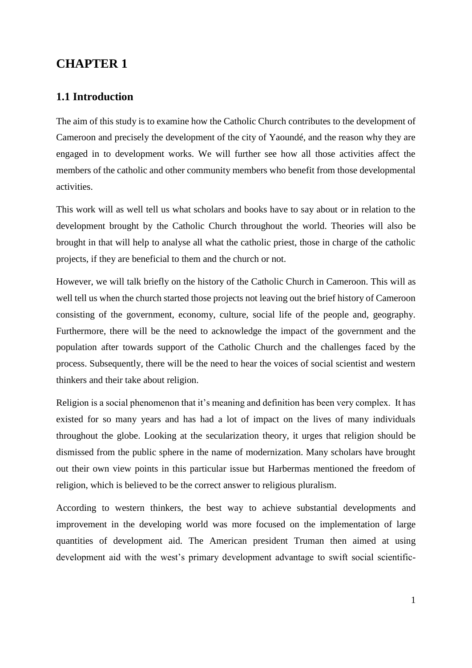## <span id="page-7-0"></span>**CHAPTER 1**

## <span id="page-7-1"></span>**1.1 Introduction**

The aim of this study is to examine how the Catholic Church contributes to the development of Cameroon and precisely the development of the city of Yaoundé, and the reason why they are engaged in to development works. We will further see how all those activities affect the members of the catholic and other community members who benefit from those developmental activities.

This work will as well tell us what scholars and books have to say about or in relation to the development brought by the Catholic Church throughout the world. Theories will also be brought in that will help to analyse all what the catholic priest, those in charge of the catholic projects, if they are beneficial to them and the church or not.

However, we will talk briefly on the history of the Catholic Church in Cameroon. This will as well tell us when the church started those projects not leaving out the brief history of Cameroon consisting of the government, economy, culture, social life of the people and, geography. Furthermore, there will be the need to acknowledge the impact of the government and the population after towards support of the Catholic Church and the challenges faced by the process. Subsequently, there will be the need to hear the voices of social scientist and western thinkers and their take about religion.

Religion is a social phenomenon that it's meaning and definition has been very complex. It has existed for so many years and has had a lot of impact on the lives of many individuals throughout the globe. Looking at the secularization theory, it urges that religion should be dismissed from the public sphere in the name of modernization. Many scholars have brought out their own view points in this particular issue but Harbermas mentioned the freedom of religion, which is believed to be the correct answer to religious pluralism.

According to western thinkers, the best way to achieve substantial developments and improvement in the developing world was more focused on the implementation of large quantities of development aid. The American president Truman then aimed at using development aid with the west's primary development advantage to swift social scientific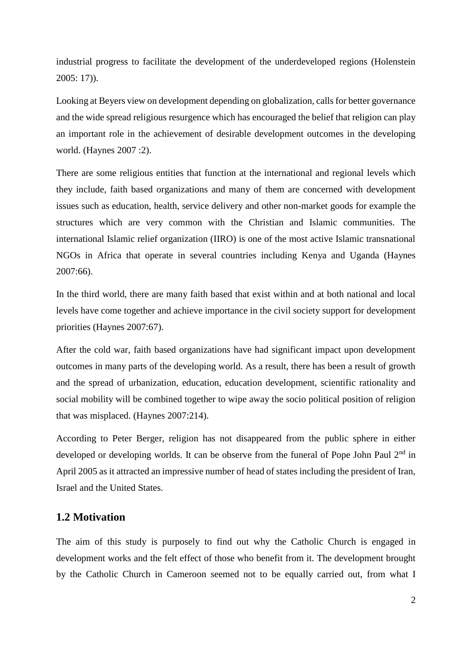industrial progress to facilitate the development of the underdeveloped regions (Holenstein 2005: 17)).

Looking at Beyers view on development depending on globalization, calls for better governance and the wide spread religious resurgence which has encouraged the belief that religion can play an important role in the achievement of desirable development outcomes in the developing world. (Haynes 2007 :2).

There are some religious entities that function at the international and regional levels which they include, faith based organizations and many of them are concerned with development issues such as education, health, service delivery and other non-market goods for example the structures which are very common with the Christian and Islamic communities. The international Islamic relief organization (IIRO) is one of the most active Islamic transnational NGOs in Africa that operate in several countries including Kenya and Uganda (Haynes 2007:66).

In the third world, there are many faith based that exist within and at both national and local levels have come together and achieve importance in the civil society support for development priorities (Haynes 2007:67).

After the cold war, faith based organizations have had significant impact upon development outcomes in many parts of the developing world. As a result, there has been a result of growth and the spread of urbanization, education, education development, scientific rationality and social mobility will be combined together to wipe away the socio political position of religion that was misplaced. (Haynes 2007:214).

According to Peter Berger, religion has not disappeared from the public sphere in either developed or developing worlds. It can be observe from the funeral of Pope John Paul 2<sup>nd</sup> in April 2005 as it attracted an impressive number of head of states including the president of Iran, Israel and the United States.

## <span id="page-8-0"></span>**1.2 Motivation**

The aim of this study is purposely to find out why the Catholic Church is engaged in development works and the felt effect of those who benefit from it. The development brought by the Catholic Church in Cameroon seemed not to be equally carried out, from what I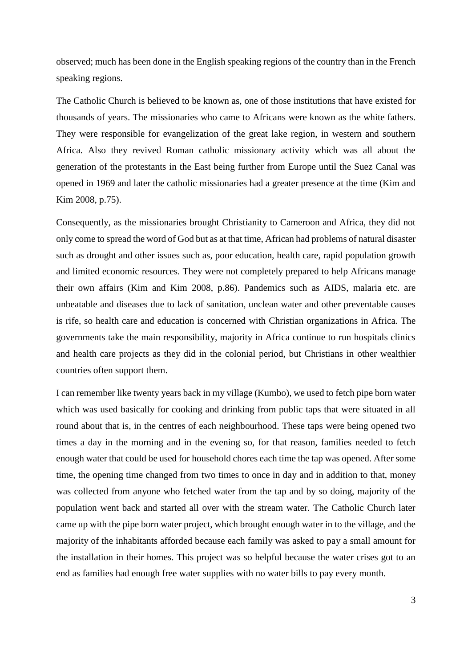observed; much has been done in the English speaking regions of the country than in the French speaking regions.

The Catholic Church is believed to be known as, one of those institutions that have existed for thousands of years. The missionaries who came to Africans were known as the white fathers. They were responsible for evangelization of the great lake region, in western and southern Africa. Also they revived Roman catholic missionary activity which was all about the generation of the protestants in the East being further from Europe until the Suez Canal was opened in 1969 and later the catholic missionaries had a greater presence at the time (Kim and Kim 2008, p.75).

Consequently, as the missionaries brought Christianity to Cameroon and Africa, they did not only come to spread the word of God but as at that time, African had problems of natural disaster such as drought and other issues such as, poor education, health care, rapid population growth and limited economic resources. They were not completely prepared to help Africans manage their own affairs (Kim and Kim 2008, p.86). Pandemics such as AIDS, malaria etc. are unbeatable and diseases due to lack of sanitation, unclean water and other preventable causes is rife, so health care and education is concerned with Christian organizations in Africa. The governments take the main responsibility, majority in Africa continue to run hospitals clinics and health care projects as they did in the colonial period, but Christians in other wealthier countries often support them.

I can remember like twenty years back in my village (Kumbo), we used to fetch pipe born water which was used basically for cooking and drinking from public taps that were situated in all round about that is, in the centres of each neighbourhood. These taps were being opened two times a day in the morning and in the evening so, for that reason, families needed to fetch enough water that could be used for household chores each time the tap was opened. After some time, the opening time changed from two times to once in day and in addition to that, money was collected from anyone who fetched water from the tap and by so doing, majority of the population went back and started all over with the stream water. The Catholic Church later came up with the pipe born water project, which brought enough water in to the village, and the majority of the inhabitants afforded because each family was asked to pay a small amount for the installation in their homes. This project was so helpful because the water crises got to an end as families had enough free water supplies with no water bills to pay every month.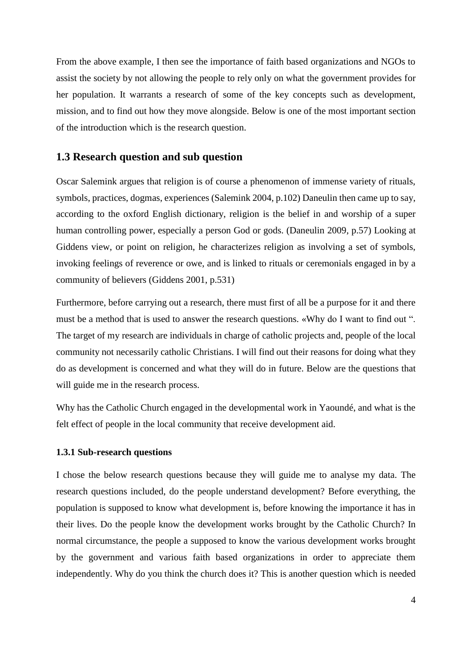From the above example, I then see the importance of faith based organizations and NGOs to assist the society by not allowing the people to rely only on what the government provides for her population. It warrants a research of some of the key concepts such as development, mission, and to find out how they move alongside. Below is one of the most important section of the introduction which is the research question.

## <span id="page-10-0"></span>**1.3 Research question and sub question**

Oscar Salemink argues that religion is of course a phenomenon of immense variety of rituals, symbols, practices, dogmas, experiences (Salemink 2004, p.102) Daneulin then came up to say, according to the oxford English dictionary, religion is the belief in and worship of a super human controlling power, especially a person God or gods. (Daneulin 2009, p.57) Looking at Giddens view, or point on religion, he characterizes religion as involving a set of symbols, invoking feelings of reverence or owe, and is linked to rituals or ceremonials engaged in by a community of believers (Giddens 2001, p.531)

Furthermore, before carrying out a research, there must first of all be a purpose for it and there must be a method that is used to answer the research questions. «Why do I want to find out ". The target of my research are individuals in charge of catholic projects and, people of the local community not necessarily catholic Christians. I will find out their reasons for doing what they do as development is concerned and what they will do in future. Below are the questions that will guide me in the research process.

Why has the Catholic Church engaged in the developmental work in Yaoundé, and what is the felt effect of people in the local community that receive development aid.

#### <span id="page-10-1"></span>**1.3.1 Sub-research questions**

I chose the below research questions because they will guide me to analyse my data. The research questions included, do the people understand development? Before everything, the population is supposed to know what development is, before knowing the importance it has in their lives. Do the people know the development works brought by the Catholic Church? In normal circumstance, the people a supposed to know the various development works brought by the government and various faith based organizations in order to appreciate them independently. Why do you think the church does it? This is another question which is needed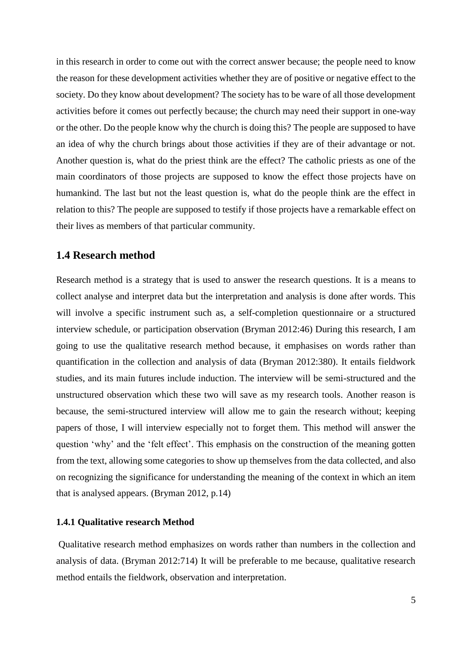in this research in order to come out with the correct answer because; the people need to know the reason for these development activities whether they are of positive or negative effect to the society. Do they know about development? The society has to be ware of all those development activities before it comes out perfectly because; the church may need their support in one-way or the other. Do the people know why the church is doing this? The people are supposed to have an idea of why the church brings about those activities if they are of their advantage or not. Another question is, what do the priest think are the effect? The catholic priests as one of the main coordinators of those projects are supposed to know the effect those projects have on humankind. The last but not the least question is, what do the people think are the effect in relation to this? The people are supposed to testify if those projects have a remarkable effect on their lives as members of that particular community.

## <span id="page-11-0"></span>**1.4 Research method**

Research method is a strategy that is used to answer the research questions. It is a means to collect analyse and interpret data but the interpretation and analysis is done after words. This will involve a specific instrument such as, a self-completion questionnaire or a structured interview schedule, or participation observation (Bryman 2012:46) During this research, I am going to use the qualitative research method because, it emphasises on words rather than quantification in the collection and analysis of data (Bryman 2012:380). It entails fieldwork studies, and its main futures include induction. The interview will be semi-structured and the unstructured observation which these two will save as my research tools. Another reason is because, the semi-structured interview will allow me to gain the research without; keeping papers of those, I will interview especially not to forget them. This method will answer the question 'why' and the 'felt effect'. This emphasis on the construction of the meaning gotten from the text, allowing some categories to show up themselves from the data collected, and also on recognizing the significance for understanding the meaning of the context in which an item that is analysed appears. (Bryman 2012, p.14)

#### <span id="page-11-1"></span>**1.4.1 Qualitative research Method**

Qualitative research method emphasizes on words rather than numbers in the collection and analysis of data. (Bryman 2012:714) It will be preferable to me because, qualitative research method entails the fieldwork, observation and interpretation.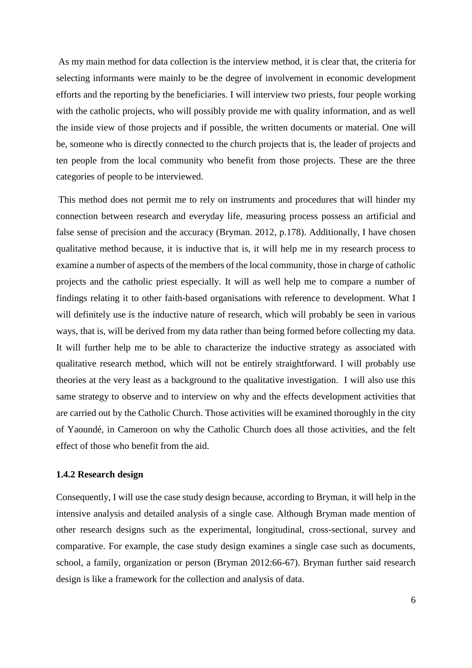As my main method for data collection is the interview method, it is clear that, the criteria for selecting informants were mainly to be the degree of involvement in economic development efforts and the reporting by the beneficiaries. I will interview two priests, four people working with the catholic projects, who will possibly provide me with quality information, and as well the inside view of those projects and if possible, the written documents or material. One will be, someone who is directly connected to the church projects that is, the leader of projects and ten people from the local community who benefit from those projects. These are the three categories of people to be interviewed.

This method does not permit me to rely on instruments and procedures that will hinder my connection between research and everyday life, measuring process possess an artificial and false sense of precision and the accuracy (Bryman. 2012, p.178). Additionally, I have chosen qualitative method because, it is inductive that is, it will help me in my research process to examine a number of aspects of the members of the local community, those in charge of catholic projects and the catholic priest especially. It will as well help me to compare a number of findings relating it to other faith-based organisations with reference to development. What I will definitely use is the inductive nature of research, which will probably be seen in various ways, that is, will be derived from my data rather than being formed before collecting my data. It will further help me to be able to characterize the inductive strategy as associated with qualitative research method, which will not be entirely straightforward. I will probably use theories at the very least as a background to the qualitative investigation. I will also use this same strategy to observe and to interview on why and the effects development activities that are carried out by the Catholic Church. Those activities will be examined thoroughly in the city of Yaoundé, in Cameroon on why the Catholic Church does all those activities, and the felt effect of those who benefit from the aid.

#### <span id="page-12-0"></span>**1.4.2 Research design**

Consequently, I will use the case study design because, according to Bryman, it will help in the intensive analysis and detailed analysis of a single case. Although Bryman made mention of other research designs such as the experimental, longitudinal, cross-sectional, survey and comparative. For example, the case study design examines a single case such as documents, school, a family, organization or person (Bryman 2012:66-67). Bryman further said research design is like a framework for the collection and analysis of data.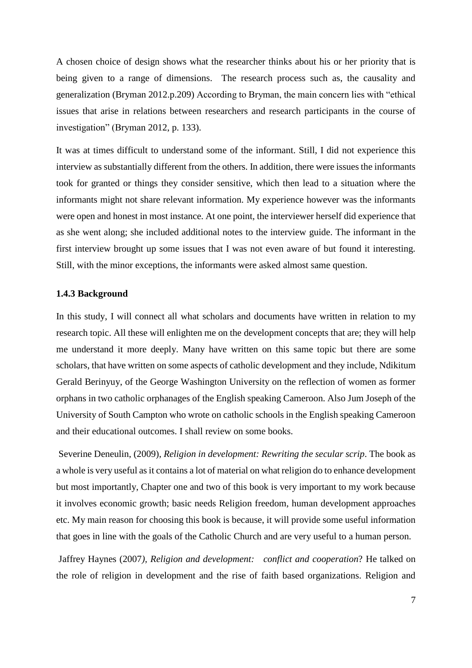A chosen choice of design shows what the researcher thinks about his or her priority that is being given to a range of dimensions. The research process such as, the causality and generalization (Bryman 2012.p.209) According to Bryman, the main concern lies with "ethical issues that arise in relations between researchers and research participants in the course of investigation" (Bryman 2012, p. 133).

It was at times difficult to understand some of the informant. Still, I did not experience this interview as substantially different from the others. In addition, there were issues the informants took for granted or things they consider sensitive, which then lead to a situation where the informants might not share relevant information. My experience however was the informants were open and honest in most instance. At one point, the interviewer herself did experience that as she went along; she included additional notes to the interview guide. The informant in the first interview brought up some issues that I was not even aware of but found it interesting. Still, with the minor exceptions, the informants were asked almost same question.

#### <span id="page-13-0"></span>**1.4.3 Background**

In this study, I will connect all what scholars and documents have written in relation to my research topic. All these will enlighten me on the development concepts that are; they will help me understand it more deeply. Many have written on this same topic but there are some scholars, that have written on some aspects of catholic development and they include, Ndikitum Gerald Berinyuy, of the George Washington University on the reflection of women as former orphans in two catholic orphanages of the English speaking Cameroon. Also Jum Joseph of the University of South Campton who wrote on catholic schools in the English speaking Cameroon and their educational outcomes. I shall review on some books.

Severine Deneulin, (2009), *Religion in development: Rewriting the secular scrip*. The book as a whole is very useful as it contains a lot of material on what religion do to enhance development but most importantly, Chapter one and two of this book is very important to my work because it involves economic growth; basic needs Religion freedom, human development approaches etc. My main reason for choosing this book is because, it will provide some useful information that goes in line with the goals of the Catholic Church and are very useful to a human person.

Jaffrey Haynes (2007*), Religion and development: conflict and cooperation*? He talked on the role of religion in development and the rise of faith based organizations. Religion and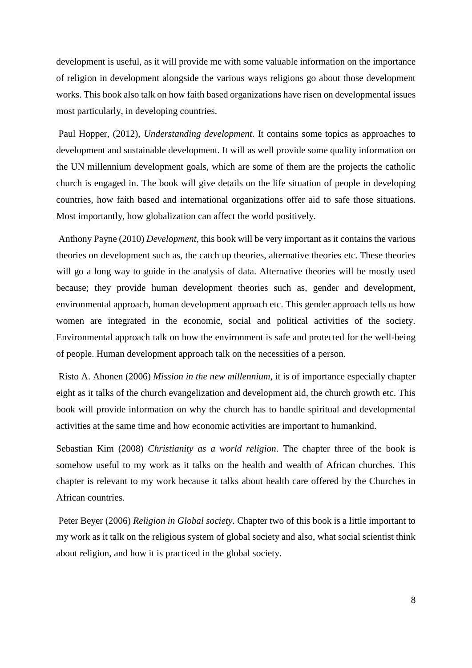development is useful, as it will provide me with some valuable information on the importance of religion in development alongside the various ways religions go about those development works. This book also talk on how faith based organizations have risen on developmental issues most particularly, in developing countries.

Paul Hopper, (2012), *Understanding development*. It contains some topics as approaches to development and sustainable development. It will as well provide some quality information on the UN millennium development goals, which are some of them are the projects the catholic church is engaged in. The book will give details on the life situation of people in developing countries, how faith based and international organizations offer aid to safe those situations. Most importantly, how globalization can affect the world positively.

Anthony Payne (2010) *Development,* this book will be very important as it contains the various theories on development such as, the catch up theories, alternative theories etc. These theories will go a long way to guide in the analysis of data. Alternative theories will be mostly used because; they provide human development theories such as, gender and development, environmental approach, human development approach etc. This gender approach tells us how women are integrated in the economic, social and political activities of the society. Environmental approach talk on how the environment is safe and protected for the well-being of people. Human development approach talk on the necessities of a person.

Risto A. Ahonen (2006) *Mission in the new millennium*, it is of importance especially chapter eight as it talks of the church evangelization and development aid, the church growth etc. This book will provide information on why the church has to handle spiritual and developmental activities at the same time and how economic activities are important to humankind.

Sebastian Kim (2008) *Christianity as a world religion*. The chapter three of the book is somehow useful to my work as it talks on the health and wealth of African churches. This chapter is relevant to my work because it talks about health care offered by the Churches in African countries.

Peter Beyer (2006) *Religion in Global society*. Chapter two of this book is a little important to my work as it talk on the religious system of global society and also, what social scientist think about religion, and how it is practiced in the global society.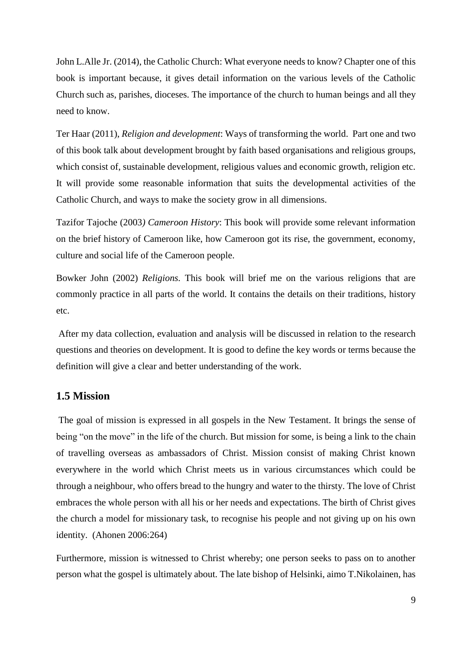John L.Alle Jr. (2014), the Catholic Church: What everyone needs to know? Chapter one of this book is important because, it gives detail information on the various levels of the Catholic Church such as, parishes, dioceses. The importance of the church to human beings and all they need to know.

Ter Haar (2011), *Religion and development*: Ways of transforming the world. Part one and two of this book talk about development brought by faith based organisations and religious groups, which consist of, sustainable development, religious values and economic growth, religion etc. It will provide some reasonable information that suits the developmental activities of the Catholic Church, and ways to make the society grow in all dimensions.

Tazifor Tajoche (2003*) Cameroon History*: This book will provide some relevant information on the brief history of Cameroon like, how Cameroon got its rise, the government, economy, culture and social life of the Cameroon people.

Bowker John (2002) *Religions.* This book will brief me on the various religions that are commonly practice in all parts of the world. It contains the details on their traditions, history etc.

After my data collection, evaluation and analysis will be discussed in relation to the research questions and theories on development. It is good to define the key words or terms because the definition will give a clear and better understanding of the work.

## <span id="page-15-0"></span>**1.5 Mission**

The goal of mission is expressed in all gospels in the New Testament. It brings the sense of being "on the move" in the life of the church. But mission for some, is being a link to the chain of travelling overseas as ambassadors of Christ. Mission consist of making Christ known everywhere in the world which Christ meets us in various circumstances which could be through a neighbour, who offers bread to the hungry and water to the thirsty. The love of Christ embraces the whole person with all his or her needs and expectations. The birth of Christ gives the church a model for missionary task, to recognise his people and not giving up on his own identity. (Ahonen 2006:264)

Furthermore, mission is witnessed to Christ whereby; one person seeks to pass on to another person what the gospel is ultimately about. The late bishop of Helsinki, aimo T.Nikolainen, has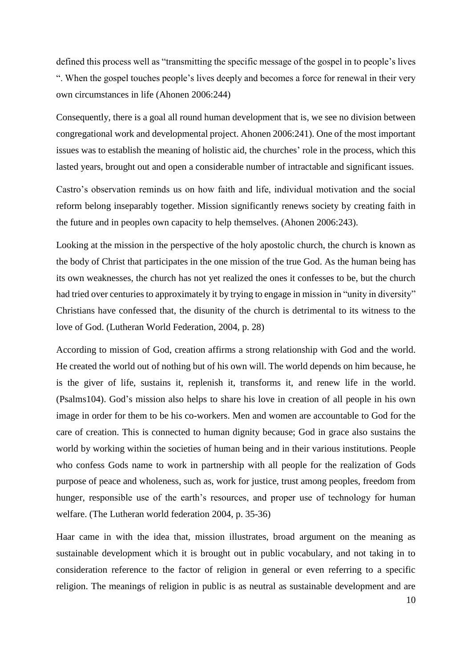defined this process well as "transmitting the specific message of the gospel in to people's lives ". When the gospel touches people's lives deeply and becomes a force for renewal in their very own circumstances in life (Ahonen 2006:244)

Consequently, there is a goal all round human development that is, we see no division between congregational work and developmental project. Ahonen 2006:241). One of the most important issues was to establish the meaning of holistic aid, the churches' role in the process, which this lasted years, brought out and open a considerable number of intractable and significant issues.

Castro's observation reminds us on how faith and life, individual motivation and the social reform belong inseparably together. Mission significantly renews society by creating faith in the future and in peoples own capacity to help themselves. (Ahonen 2006:243).

Looking at the mission in the perspective of the holy apostolic church, the church is known as the body of Christ that participates in the one mission of the true God. As the human being has its own weaknesses, the church has not yet realized the ones it confesses to be, but the church had tried over centuries to approximately it by trying to engage in mission in "unity in diversity" Christians have confessed that, the disunity of the church is detrimental to its witness to the love of God. (Lutheran World Federation, 2004, p. 28)

According to mission of God, creation affirms a strong relationship with God and the world. He created the world out of nothing but of his own will. The world depends on him because, he is the giver of life, sustains it, replenish it, transforms it, and renew life in the world. (Psalms104). God's mission also helps to share his love in creation of all people in his own image in order for them to be his co-workers. Men and women are accountable to God for the care of creation. This is connected to human dignity because; God in grace also sustains the world by working within the societies of human being and in their various institutions. People who confess Gods name to work in partnership with all people for the realization of Gods purpose of peace and wholeness, such as, work for justice, trust among peoples, freedom from hunger, responsible use of the earth's resources, and proper use of technology for human welfare. (The Lutheran world federation 2004, p. 35-36)

Haar came in with the idea that, mission illustrates, broad argument on the meaning as sustainable development which it is brought out in public vocabulary, and not taking in to consideration reference to the factor of religion in general or even referring to a specific religion. The meanings of religion in public is as neutral as sustainable development and are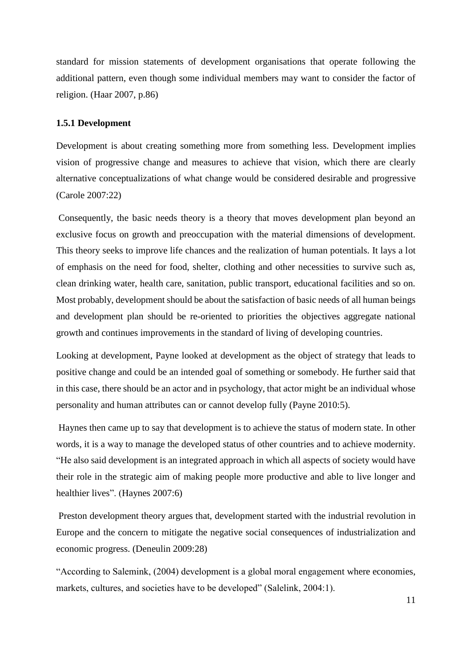standard for mission statements of development organisations that operate following the additional pattern, even though some individual members may want to consider the factor of religion. (Haar 2007, p.86)

#### <span id="page-17-0"></span>**1.5.1 Development**

Development is about creating something more from something less. Development implies vision of progressive change and measures to achieve that vision, which there are clearly alternative conceptualizations of what change would be considered desirable and progressive (Carole 2007:22)

Consequently, the basic needs theory is a theory that moves development plan beyond an exclusive focus on growth and preoccupation with the material dimensions of development. This theory seeks to improve life chances and the realization of human potentials. It lays a lot of emphasis on the need for food, shelter, clothing and other necessities to survive such as, clean drinking water, health care, sanitation, public transport, educational facilities and so on. Most probably, development should be about the satisfaction of basic needs of all human beings and development plan should be re-oriented to priorities the objectives aggregate national growth and continues improvements in the standard of living of developing countries.

Looking at development, Payne looked at development as the object of strategy that leads to positive change and could be an intended goal of something or somebody. He further said that in this case, there should be an actor and in psychology, that actor might be an individual whose personality and human attributes can or cannot develop fully (Payne 2010:5).

Haynes then came up to say that development is to achieve the status of modern state. In other words, it is a way to manage the developed status of other countries and to achieve modernity. "He also said development is an integrated approach in which all aspects of society would have their role in the strategic aim of making people more productive and able to live longer and healthier lives". (Haynes 2007:6)

Preston development theory argues that, development started with the industrial revolution in Europe and the concern to mitigate the negative social consequences of industrialization and economic progress. (Deneulin 2009:28)

"According to Salemink, (2004) development is a global moral engagement where economies, markets, cultures, and societies have to be developed" (Salelink, 2004:1).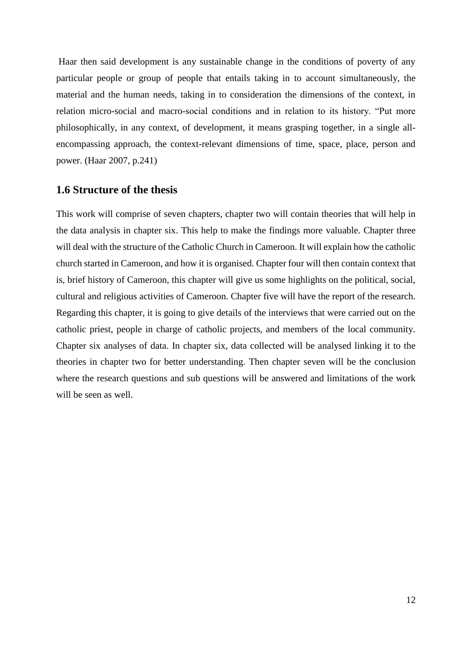Haar then said development is any sustainable change in the conditions of poverty of any particular people or group of people that entails taking in to account simultaneously, the material and the human needs, taking in to consideration the dimensions of the context, in relation micro-social and macro-social conditions and in relation to its history. "Put more philosophically, in any context, of development, it means grasping together, in a single allencompassing approach, the context-relevant dimensions of time, space, place, person and power. (Haar 2007, p.241)

## <span id="page-18-0"></span>**1.6 Structure of the thesis**

This work will comprise of seven chapters, chapter two will contain theories that will help in the data analysis in chapter six. This help to make the findings more valuable. Chapter three will deal with the structure of the Catholic Church in Cameroon. It will explain how the catholic church started in Cameroon, and how it is organised. Chapter four will then contain context that is, brief history of Cameroon, this chapter will give us some highlights on the political, social, cultural and religious activities of Cameroon. Chapter five will have the report of the research. Regarding this chapter, it is going to give details of the interviews that were carried out on the catholic priest, people in charge of catholic projects, and members of the local community. Chapter six analyses of data. In chapter six, data collected will be analysed linking it to the theories in chapter two for better understanding. Then chapter seven will be the conclusion where the research questions and sub questions will be answered and limitations of the work will be seen as well.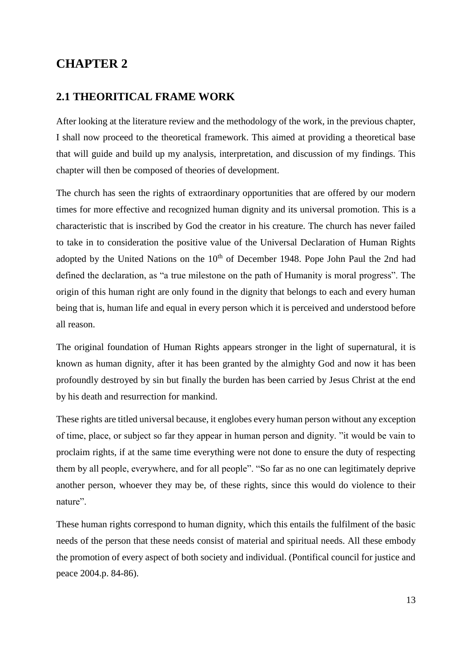## <span id="page-19-0"></span>**CHAPTER 2**

## <span id="page-19-1"></span>**2.1 THEORITICAL FRAME WORK**

After looking at the literature review and the methodology of the work, in the previous chapter, I shall now proceed to the theoretical framework. This aimed at providing a theoretical base that will guide and build up my analysis, interpretation, and discussion of my findings. This chapter will then be composed of theories of development.

The church has seen the rights of extraordinary opportunities that are offered by our modern times for more effective and recognized human dignity and its universal promotion. This is a characteristic that is inscribed by God the creator in his creature. The church has never failed to take in to consideration the positive value of the Universal Declaration of Human Rights adopted by the United Nations on the  $10<sup>th</sup>$  of December 1948. Pope John Paul the 2nd had defined the declaration, as "a true milestone on the path of Humanity is moral progress". The origin of this human right are only found in the dignity that belongs to each and every human being that is, human life and equal in every person which it is perceived and understood before all reason.

The original foundation of Human Rights appears stronger in the light of supernatural, it is known as human dignity, after it has been granted by the almighty God and now it has been profoundly destroyed by sin but finally the burden has been carried by Jesus Christ at the end by his death and resurrection for mankind.

These rights are titled universal because, it englobes every human person without any exception of time, place, or subject so far they appear in human person and dignity. "it would be vain to proclaim rights, if at the same time everything were not done to ensure the duty of respecting them by all people, everywhere, and for all people". "So far as no one can legitimately deprive another person, whoever they may be, of these rights, since this would do violence to their nature".

These human rights correspond to human dignity, which this entails the fulfilment of the basic needs of the person that these needs consist of material and spiritual needs. All these embody the promotion of every aspect of both society and individual. (Pontifical council for justice and peace 2004.p. 84-86).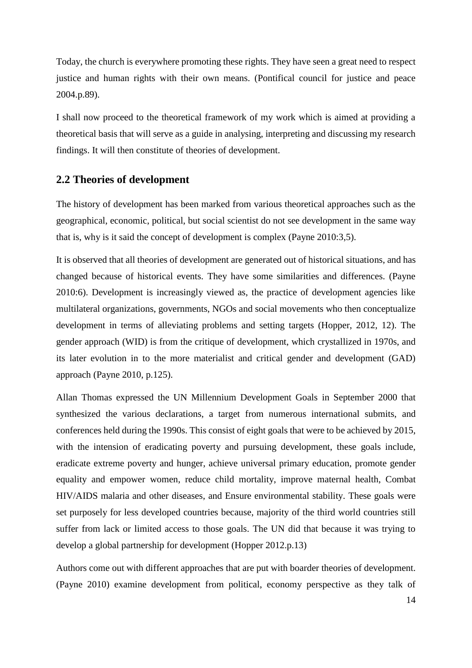Today, the church is everywhere promoting these rights. They have seen a great need to respect justice and human rights with their own means. (Pontifical council for justice and peace 2004.p.89).

I shall now proceed to the theoretical framework of my work which is aimed at providing a theoretical basis that will serve as a guide in analysing, interpreting and discussing my research findings. It will then constitute of theories of development.

## <span id="page-20-0"></span>**2.2 Theories of development**

The history of development has been marked from various theoretical approaches such as the geographical, economic, political, but social scientist do not see development in the same way that is, why is it said the concept of development is complex (Payne 2010:3,5).

It is observed that all theories of development are generated out of historical situations, and has changed because of historical events. They have some similarities and differences. (Payne 2010:6). Development is increasingly viewed as, the practice of development agencies like multilateral organizations, governments, NGOs and social movements who then conceptualize development in terms of alleviating problems and setting targets (Hopper, 2012, 12). The gender approach (WID) is from the critique of development, which crystallized in 1970s, and its later evolution in to the more materialist and critical gender and development (GAD) approach (Payne 2010, p.125).

Allan Thomas expressed the UN Millennium Development Goals in September 2000 that synthesized the various declarations, a target from numerous international submits, and conferences held during the 1990s. This consist of eight goals that were to be achieved by 2015, with the intension of eradicating poverty and pursuing development, these goals include, eradicate extreme poverty and hunger, achieve universal primary education, promote gender equality and empower women, reduce child mortality, improve maternal health, Combat HIV/AIDS malaria and other diseases, and Ensure environmental stability. These goals were set purposely for less developed countries because, majority of the third world countries still suffer from lack or limited access to those goals. The UN did that because it was trying to develop a global partnership for development (Hopper 2012.p.13)

Authors come out with different approaches that are put with boarder theories of development. (Payne 2010) examine development from political, economy perspective as they talk of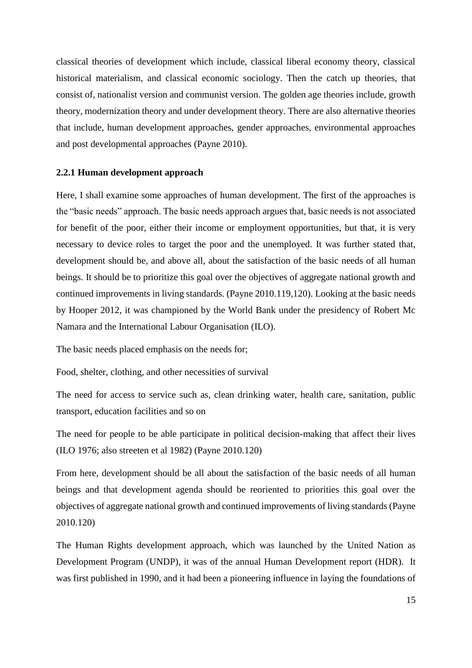classical theories of development which include, classical liberal economy theory, classical historical materialism, and classical economic sociology. Then the catch up theories, that consist of, nationalist version and communist version. The golden age theories include, growth theory, modernization theory and under development theory. There are also alternative theories that include, human development approaches, gender approaches, environmental approaches and post developmental approaches (Payne 2010).

#### <span id="page-21-0"></span>**2.2.1 Human development approach**

Here, I shall examine some approaches of human development. The first of the approaches is the "basic needs" approach. The basic needs approach argues that, basic needs is not associated for benefit of the poor, either their income or employment opportunities, but that, it is very necessary to device roles to target the poor and the unemployed. It was further stated that, development should be, and above all, about the satisfaction of the basic needs of all human beings. It should be to prioritize this goal over the objectives of aggregate national growth and continued improvements in living standards. (Payne 2010.119,120). Looking at the basic needs by Hooper 2012, it was championed by the World Bank under the presidency of Robert Mc Namara and the International Labour Organisation (ILO).

The basic needs placed emphasis on the needs for;

Food, shelter, clothing, and other necessities of survival

The need for access to service such as, clean drinking water, health care, sanitation, public transport, education facilities and so on

The need for people to be able participate in political decision-making that affect their lives (ILO 1976; also streeten et al 1982) (Payne 2010.120)

From here, development should be all about the satisfaction of the basic needs of all human beings and that development agenda should be reoriented to priorities this goal over the objectives of aggregate national growth and continued improvements of living standards (Payne 2010.120)

The Human Rights development approach, which was launched by the United Nation as Development Program (UNDP), it was of the annual Human Development report (HDR). It was first published in 1990, and it had been a pioneering influence in laying the foundations of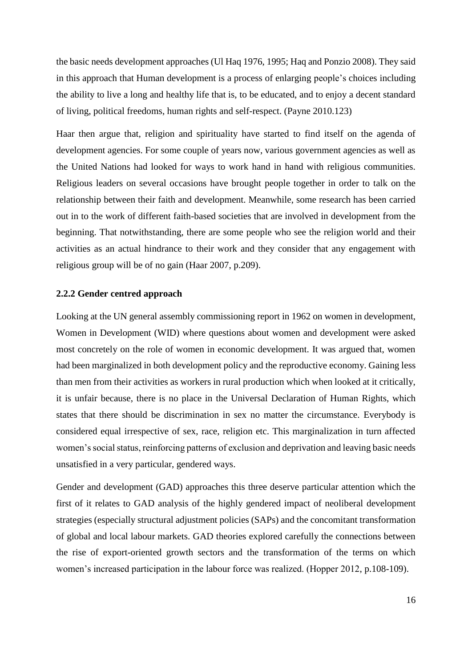the basic needs development approaches (Ul Haq 1976, 1995; Haq and Ponzio 2008). They said in this approach that Human development is a process of enlarging people's choices including the ability to live a long and healthy life that is, to be educated, and to enjoy a decent standard of living, political freedoms, human rights and self-respect. (Payne 2010.123)

Haar then argue that, religion and spirituality have started to find itself on the agenda of development agencies. For some couple of years now, various government agencies as well as the United Nations had looked for ways to work hand in hand with religious communities. Religious leaders on several occasions have brought people together in order to talk on the relationship between their faith and development. Meanwhile, some research has been carried out in to the work of different faith-based societies that are involved in development from the beginning. That notwithstanding, there are some people who see the religion world and their activities as an actual hindrance to their work and they consider that any engagement with religious group will be of no gain (Haar 2007, p.209).

#### <span id="page-22-0"></span>**2.2.2 Gender centred approach**

Looking at the UN general assembly commissioning report in 1962 on women in development, Women in Development (WID) where questions about women and development were asked most concretely on the role of women in economic development. It was argued that, women had been marginalized in both development policy and the reproductive economy. Gaining less than men from their activities as workers in rural production which when looked at it critically, it is unfair because, there is no place in the Universal Declaration of Human Rights, which states that there should be discrimination in sex no matter the circumstance. Everybody is considered equal irrespective of sex, race, religion etc. This marginalization in turn affected women's social status, reinforcing patterns of exclusion and deprivation and leaving basic needs unsatisfied in a very particular, gendered ways.

Gender and development (GAD) approaches this three deserve particular attention which the first of it relates to GAD analysis of the highly gendered impact of neoliberal development strategies (especially structural adjustment policies (SAPs) and the concomitant transformation of global and local labour markets. GAD theories explored carefully the connections between the rise of export-oriented growth sectors and the transformation of the terms on which women's increased participation in the labour force was realized. (Hopper 2012, p.108-109).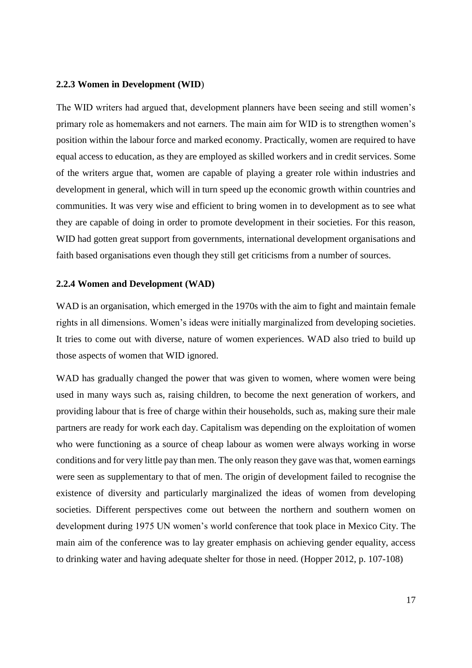#### <span id="page-23-0"></span>**2.2.3 Women in Development (WID**)

The WID writers had argued that, development planners have been seeing and still women's primary role as homemakers and not earners. The main aim for WID is to strengthen women's position within the labour force and marked economy. Practically, women are required to have equal access to education, as they are employed as skilled workers and in credit services. Some of the writers argue that, women are capable of playing a greater role within industries and development in general, which will in turn speed up the economic growth within countries and communities. It was very wise and efficient to bring women in to development as to see what they are capable of doing in order to promote development in their societies. For this reason, WID had gotten great support from governments, international development organisations and faith based organisations even though they still get criticisms from a number of sources.

#### <span id="page-23-1"></span>**2.2.4 Women and Development (WAD)**

WAD is an organisation, which emerged in the 1970s with the aim to fight and maintain female rights in all dimensions. Women's ideas were initially marginalized from developing societies. It tries to come out with diverse, nature of women experiences. WAD also tried to build up those aspects of women that WID ignored.

WAD has gradually changed the power that was given to women, where women were being used in many ways such as, raising children, to become the next generation of workers, and providing labour that is free of charge within their households, such as, making sure their male partners are ready for work each day. Capitalism was depending on the exploitation of women who were functioning as a source of cheap labour as women were always working in worse conditions and for very little pay than men. The only reason they gave was that, women earnings were seen as supplementary to that of men. The origin of development failed to recognise the existence of diversity and particularly marginalized the ideas of women from developing societies. Different perspectives come out between the northern and southern women on development during 1975 UN women's world conference that took place in Mexico City. The main aim of the conference was to lay greater emphasis on achieving gender equality, access to drinking water and having adequate shelter for those in need. (Hopper 2012, p. 107-108)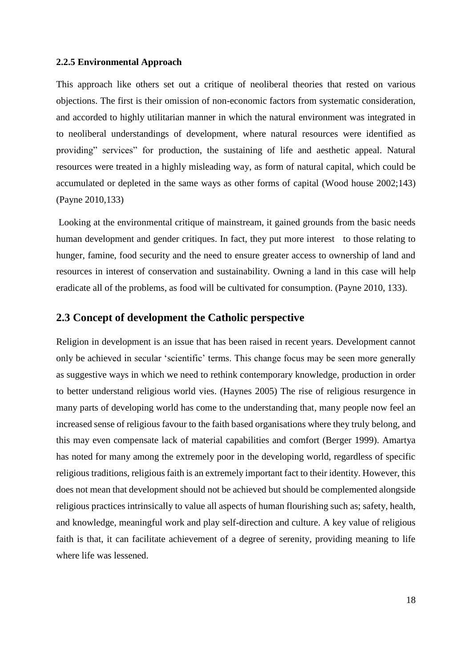#### <span id="page-24-0"></span>**2.2.5 Environmental Approach**

This approach like others set out a critique of neoliberal theories that rested on various objections. The first is their omission of non-economic factors from systematic consideration, and accorded to highly utilitarian manner in which the natural environment was integrated in to neoliberal understandings of development, where natural resources were identified as providing" services" for production, the sustaining of life and aesthetic appeal. Natural resources were treated in a highly misleading way, as form of natural capital, which could be accumulated or depleted in the same ways as other forms of capital (Wood house 2002;143) (Payne 2010,133)

Looking at the environmental critique of mainstream, it gained grounds from the basic needs human development and gender critiques. In fact, they put more interest to those relating to hunger, famine, food security and the need to ensure greater access to ownership of land and resources in interest of conservation and sustainability. Owning a land in this case will help eradicate all of the problems, as food will be cultivated for consumption. (Payne 2010, 133).

### <span id="page-24-1"></span>**2.3 Concept of development the Catholic perspective**

Religion in development is an issue that has been raised in recent years. Development cannot only be achieved in secular 'scientific' terms. This change focus may be seen more generally as suggestive ways in which we need to rethink contemporary knowledge, production in order to better understand religious world vies. (Haynes 2005) The rise of religious resurgence in many parts of developing world has come to the understanding that, many people now feel an increased sense of religious favour to the faith based organisations where they truly belong, and this may even compensate lack of material capabilities and comfort (Berger 1999). Amartya has noted for many among the extremely poor in the developing world, regardless of specific religious traditions, religious faith is an extremely important fact to their identity. However, this does not mean that development should not be achieved but should be complemented alongside religious practices intrinsically to value all aspects of human flourishing such as; safety, health, and knowledge, meaningful work and play self-direction and culture. A key value of religious faith is that, it can facilitate achievement of a degree of serenity, providing meaning to life where life was lessened.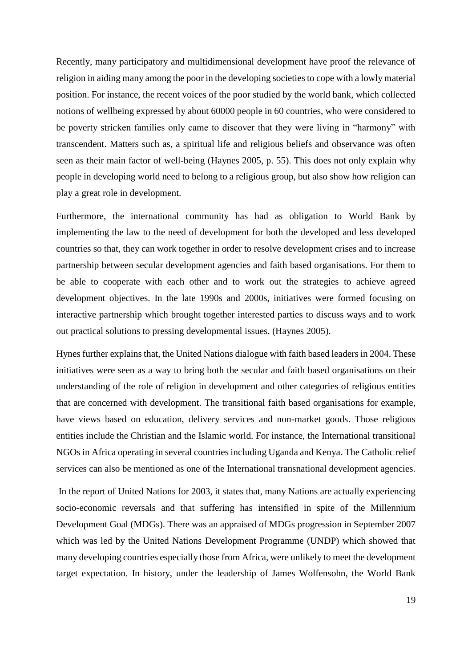Recently, many participatory and multidimensional development have proof the relevance of religion in aiding many among the poor in the developing societies to cope with a lowly material position. For instance, the recent voices of the poor studied by the world bank, which collected notions of wellbeing expressed by about 60000 people in 60 countries, who were considered to be poverty stricken families only came to discover that they were living in "harmony" with transcendent. Matters such as, a spiritual life and religious beliefs and observance was often seen as their main factor of well-being (Haynes 2005, p. 55). This does not only explain why people in developing world need to belong to a religious group, but also show how religion can play a great role in development.

Furthermore, the international community has had as obligation to World Bank by implementing the law to the need of development for both the developed and less developed countries so that, they can work together in order to resolve development crises and to increase partnership between secular development agencies and faith based organisations. For them to be able to cooperate with each other and to work out the strategies to achieve agreed development objectives. In the late 1990s and 2000s, initiatives were formed focusing on interactive partnership which brought together interested parties to discuss ways and to work out practical solutions to pressing developmental issues. (Haynes 2005).

Hynes further explains that, the United Nations dialogue with faith based leaders in 2004. These initiatives were seen as a way to bring both the secular and faith based organisations on their understanding of the role of religion in development and other categories of religious entities that are concerned with development. The transitional faith based organisations for example, have views based on education, delivery services and non-market goods. Those religious entities include the Christian and the Islamic world. For instance, the International transitional NGOs in Africa operating in several countries including Uganda and Kenya. The Catholic relief services can also be mentioned as one of the International transnational development agencies.

In the report of United Nations for 2003, it states that, many Nations are actually experiencing socio-economic reversals and that suffering has intensified in spite of the Millennium Development Goal (MDGs). There was an appraised of MDGs progression in September 2007 which was led by the United Nations Development Programme (UNDP) which showed that many developing countries especially those from Africa, were unlikely to meet the development target expectation. In history, under the leadership of James Wolfensohn, the World Bank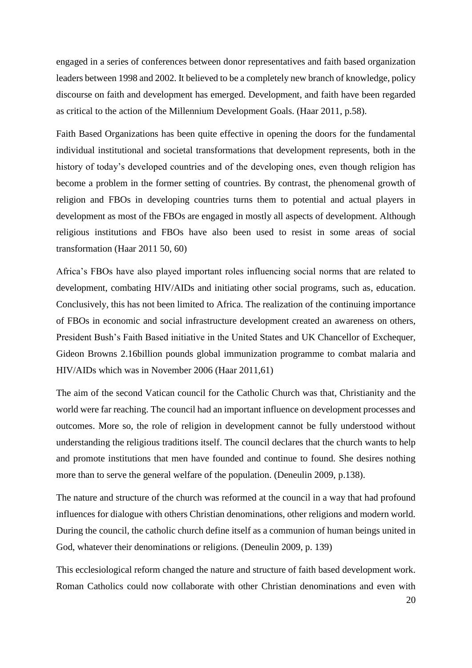engaged in a series of conferences between donor representatives and faith based organization leaders between 1998 and 2002. It believed to be a completely new branch of knowledge, policy discourse on faith and development has emerged. Development, and faith have been regarded as critical to the action of the Millennium Development Goals. (Haar 2011, p.58).

Faith Based Organizations has been quite effective in opening the doors for the fundamental individual institutional and societal transformations that development represents, both in the history of today's developed countries and of the developing ones, even though religion has become a problem in the former setting of countries. By contrast, the phenomenal growth of religion and FBOs in developing countries turns them to potential and actual players in development as most of the FBOs are engaged in mostly all aspects of development. Although religious institutions and FBOs have also been used to resist in some areas of social transformation (Haar 2011 50, 60)

Africa's FBOs have also played important roles influencing social norms that are related to development, combating HIV/AIDs and initiating other social programs, such as, education. Conclusively, this has not been limited to Africa. The realization of the continuing importance of FBOs in economic and social infrastructure development created an awareness on others, President Bush's Faith Based initiative in the United States and UK Chancellor of Exchequer, Gideon Browns 2.16billion pounds global immunization programme to combat malaria and HIV/AIDs which was in November 2006 (Haar 2011,61)

The aim of the second Vatican council for the Catholic Church was that, Christianity and the world were far reaching. The council had an important influence on development processes and outcomes. More so, the role of religion in development cannot be fully understood without understanding the religious traditions itself. The council declares that the church wants to help and promote institutions that men have founded and continue to found. She desires nothing more than to serve the general welfare of the population. (Deneulin 2009, p.138).

The nature and structure of the church was reformed at the council in a way that had profound influences for dialogue with others Christian denominations, other religions and modern world. During the council, the catholic church define itself as a communion of human beings united in God, whatever their denominations or religions. (Deneulin 2009, p. 139)

This ecclesiological reform changed the nature and structure of faith based development work. Roman Catholics could now collaborate with other Christian denominations and even with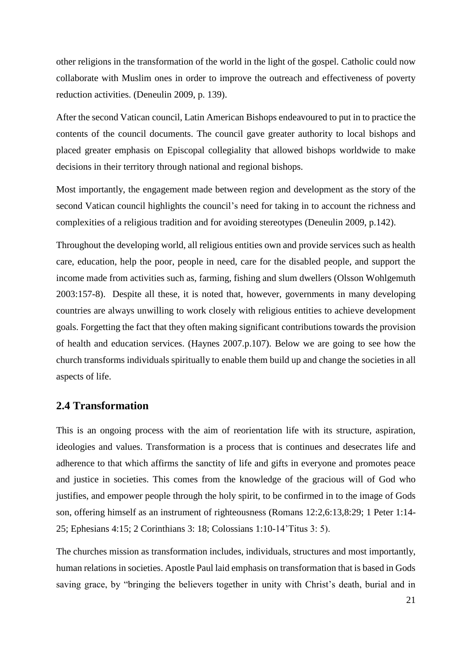other religions in the transformation of the world in the light of the gospel. Catholic could now collaborate with Muslim ones in order to improve the outreach and effectiveness of poverty reduction activities. (Deneulin 2009, p. 139).

After the second Vatican council, Latin American Bishops endeavoured to put in to practice the contents of the council documents. The council gave greater authority to local bishops and placed greater emphasis on Episcopal collegiality that allowed bishops worldwide to make decisions in their territory through national and regional bishops.

Most importantly, the engagement made between region and development as the story of the second Vatican council highlights the council's need for taking in to account the richness and complexities of a religious tradition and for avoiding stereotypes (Deneulin 2009, p.142).

Throughout the developing world, all religious entities own and provide services such as health care, education, help the poor, people in need, care for the disabled people, and support the income made from activities such as, farming, fishing and slum dwellers (Olsson Wohlgemuth 2003:157-8). Despite all these, it is noted that, however, governments in many developing countries are always unwilling to work closely with religious entities to achieve development goals. Forgetting the fact that they often making significant contributions towards the provision of health and education services. (Haynes 2007.p.107). Below we are going to see how the church transforms individuals spiritually to enable them build up and change the societies in all aspects of life.

## <span id="page-27-0"></span>**2.4 Transformation**

This is an ongoing process with the aim of reorientation life with its structure, aspiration, ideologies and values. Transformation is a process that is continues and desecrates life and adherence to that which affirms the sanctity of life and gifts in everyone and promotes peace and justice in societies. This comes from the knowledge of the gracious will of God who justifies, and empower people through the holy spirit, to be confirmed in to the image of Gods son, offering himself as an instrument of righteousness (Romans 12:2,6:13,8:29; 1 Peter 1:14- 25; Ephesians 4:15; 2 Corinthians 3: 18; Colossians 1:10-14'Titus 3: 5).

The churches mission as transformation includes, individuals, structures and most importantly, human relations in societies. Apostle Paul laid emphasis on transformation that is based in Gods saving grace, by "bringing the believers together in unity with Christ's death, burial and in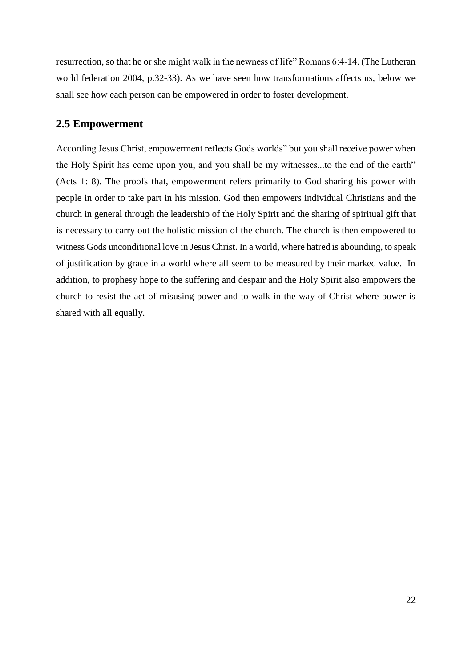resurrection, so that he or she might walk in the newness of life" Romans 6:4-14. (The Lutheran world federation 2004, p.32-33). As we have seen how transformations affects us, below we shall see how each person can be empowered in order to foster development.

## <span id="page-28-0"></span>**2.5 Empowerment**

According Jesus Christ, empowerment reflects Gods worlds" but you shall receive power when the Holy Spirit has come upon you, and you shall be my witnesses...to the end of the earth" (Acts 1: 8). The proofs that, empowerment refers primarily to God sharing his power with people in order to take part in his mission. God then empowers individual Christians and the church in general through the leadership of the Holy Spirit and the sharing of spiritual gift that is necessary to carry out the holistic mission of the church. The church is then empowered to witness Gods unconditional love in Jesus Christ. In a world, where hatred is abounding, to speak of justification by grace in a world where all seem to be measured by their marked value. In addition, to prophesy hope to the suffering and despair and the Holy Spirit also empowers the church to resist the act of misusing power and to walk in the way of Christ where power is shared with all equally.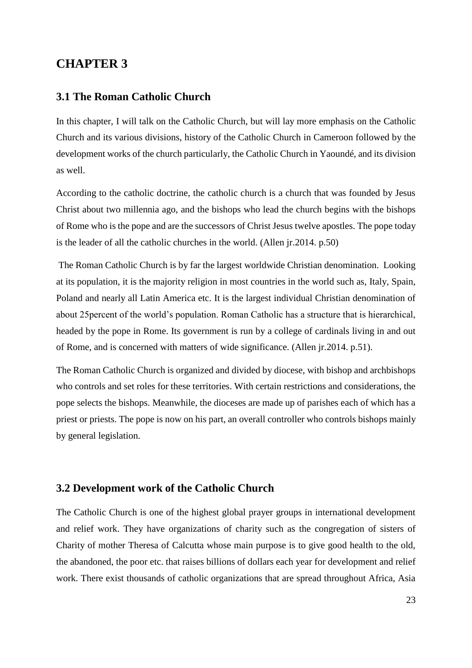## <span id="page-29-0"></span>**CHAPTER 3**

## <span id="page-29-1"></span>**3.1 The Roman Catholic Church**

In this chapter, I will talk on the Catholic Church, but will lay more emphasis on the Catholic Church and its various divisions, history of the Catholic Church in Cameroon followed by the development works of the church particularly, the Catholic Church in Yaoundé, and its division as well.

According to the catholic doctrine, the catholic church is a church that was founded by Jesus Christ about two millennia ago, and the bishops who lead the church begins with the bishops of Rome who is the pope and are the successors of Christ Jesus twelve apostles. The pope today is the leader of all the catholic churches in the world. (Allen jr.2014. p.50)

The Roman Catholic Church is by far the largest worldwide Christian denomination. Looking at its population, it is the majority religion in most countries in the world such as, Italy, Spain, Poland and nearly all Latin America etc. It is the largest individual Christian denomination of about 25percent of the world's population. Roman Catholic has a structure that is hierarchical, headed by the pope in Rome. Its government is run by a college of cardinals living in and out of Rome, and is concerned with matters of wide significance. (Allen jr.2014. p.51).

The Roman Catholic Church is organized and divided by diocese, with bishop and archbishops who controls and set roles for these territories. With certain restrictions and considerations, the pope selects the bishops. Meanwhile, the dioceses are made up of parishes each of which has a priest or priests. The pope is now on his part, an overall controller who controls bishops mainly by general legislation.

## <span id="page-29-2"></span>**3.2 Development work of the Catholic Church**

The Catholic Church is one of the highest global prayer groups in international development and relief work. They have organizations of charity such as the congregation of sisters of Charity of mother Theresa of Calcutta whose main purpose is to give good health to the old, the abandoned, the poor etc. that raises billions of dollars each year for development and relief work. There exist thousands of catholic organizations that are spread throughout Africa, Asia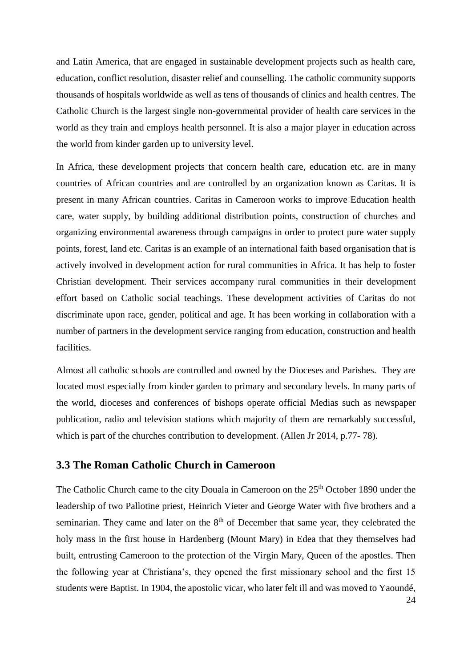and Latin America, that are engaged in sustainable development projects such as health care, education, conflict resolution, disaster relief and counselling. The catholic community supports thousands of hospitals worldwide as well as tens of thousands of clinics and health centres. The Catholic Church is the largest single non-governmental provider of health care services in the world as they train and employs health personnel. It is also a major player in education across the world from kinder garden up to university level.

In Africa, these development projects that concern health care, education etc. are in many countries of African countries and are controlled by an organization known as Caritas. It is present in many African countries. Caritas in Cameroon works to improve Education health care, water supply, by building additional distribution points, construction of churches and organizing environmental awareness through campaigns in order to protect pure water supply points, forest, land etc. Caritas is an example of an international faith based organisation that is actively involved in development action for rural communities in Africa. It has help to foster Christian development. Their services accompany rural communities in their development effort based on Catholic social teachings. These development activities of Caritas do not discriminate upon race, gender, political and age. It has been working in collaboration with a number of partners in the development service ranging from education, construction and health facilities.

Almost all catholic schools are controlled and owned by the Dioceses and Parishes. They are located most especially from kinder garden to primary and secondary levels. In many parts of the world, dioceses and conferences of bishops operate official Medias such as newspaper publication, radio and television stations which majority of them are remarkably successful, which is part of the churches contribution to development. (Allen Jr 2014, p.77- 78).

## <span id="page-30-0"></span>**3.3 The Roman Catholic Church in Cameroon**

The Catholic Church came to the city Douala in Cameroon on the 25<sup>th</sup> October 1890 under the leadership of two Pallotine priest, Heinrich Vieter and George Water with five brothers and a seminarian. They came and later on the  $8<sup>th</sup>$  of December that same year, they celebrated the holy mass in the first house in Hardenberg (Mount Mary) in Edea that they themselves had built, entrusting Cameroon to the protection of the Virgin Mary, Queen of the apostles. Then the following year at Christiana's, they opened the first missionary school and the first 15 students were Baptist. In 1904, the apostolic vicar, who later felt ill and was moved to Yaoundé,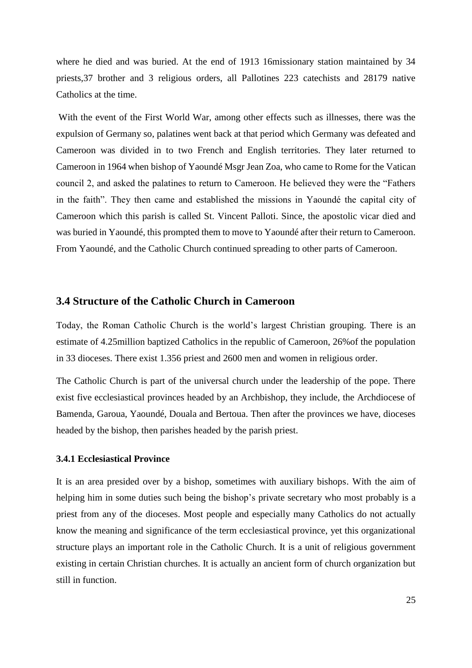where he died and was buried. At the end of 1913 16missionary station maintained by 34 priests,37 brother and 3 religious orders, all Pallotines 223 catechists and 28179 native Catholics at the time.

With the event of the First World War, among other effects such as illnesses, there was the expulsion of Germany so, palatines went back at that period which Germany was defeated and Cameroon was divided in to two French and English territories. They later returned to Cameroon in 1964 when bishop of Yaoundé Msgr Jean Zoa, who came to Rome for the Vatican council 2, and asked the palatines to return to Cameroon. He believed they were the "Fathers in the faith". They then came and established the missions in Yaoundé the capital city of Cameroon which this parish is called St. Vincent Palloti. Since, the apostolic vicar died and was buried in Yaoundé, this prompted them to move to Yaoundé after their return to Cameroon. From Yaoundé, and the Catholic Church continued spreading to other parts of Cameroon.

#### <span id="page-31-0"></span>**3.4 Structure of the Catholic Church in Cameroon**

Today, the Roman Catholic Church is the world's largest Christian grouping. There is an estimate of 4.25million baptized Catholics in the republic of Cameroon, 26%of the population in 33 dioceses. There exist 1.356 priest and 2600 men and women in religious order.

The Catholic Church is part of the universal church under the leadership of the pope. There exist five ecclesiastical provinces headed by an Archbishop, they include, the Archdiocese of Bamenda, Garoua, Yaoundé, Douala and Bertoua. Then after the provinces we have, dioceses headed by the bishop, then parishes headed by the parish priest.

#### <span id="page-31-1"></span>**3.4.1 Ecclesiastical Province**

It is an area presided over by a bishop, sometimes with auxiliary bishops. With the aim of helping him in some duties such being the bishop's private secretary who most probably is a priest from any of the dioceses. Most people and especially many Catholics do not actually know the meaning and significance of the term ecclesiastical province, yet this organizational structure plays an important role in the Catholic Church. It is a unit of religious government existing in certain Christian churches. It is actually an ancient form of church organization but still in function.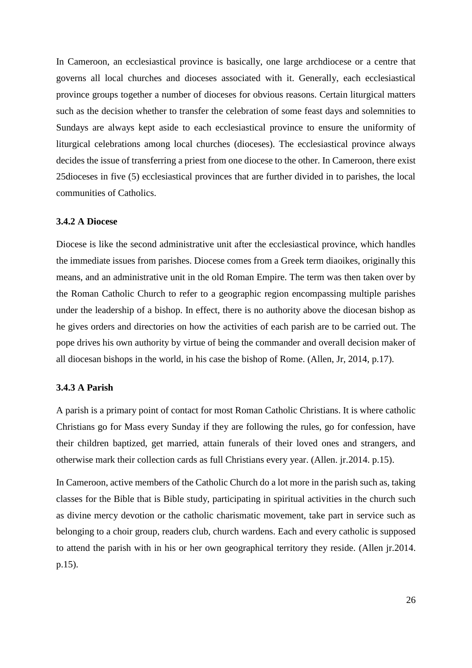In Cameroon, an ecclesiastical province is basically, one large archdiocese or a centre that governs all local churches and dioceses associated with it. Generally, each ecclesiastical province groups together a number of dioceses for obvious reasons. Certain liturgical matters such as the decision whether to transfer the celebration of some feast days and solemnities to Sundays are always kept aside to each ecclesiastical province to ensure the uniformity of liturgical celebrations among local churches (dioceses). The ecclesiastical province always decides the issue of transferring a priest from one diocese to the other. In Cameroon, there exist 25dioceses in five (5) ecclesiastical provinces that are further divided in to parishes, the local communities of Catholics.

#### <span id="page-32-0"></span>**3.4.2 A Diocese**

Diocese is like the second administrative unit after the ecclesiastical province, which handles the immediate issues from parishes. Diocese comes from a Greek term diaoikes, originally this means, and an administrative unit in the old Roman Empire. The term was then taken over by the Roman Catholic Church to refer to a geographic region encompassing multiple parishes under the leadership of a bishop. In effect, there is no authority above the diocesan bishop as he gives orders and directories on how the activities of each parish are to be carried out. The pope drives his own authority by virtue of being the commander and overall decision maker of all diocesan bishops in the world, in his case the bishop of Rome. (Allen, Jr, 2014, p.17).

#### <span id="page-32-1"></span>**3.4.3 A Parish**

A parish is a primary point of contact for most Roman Catholic Christians. It is where catholic Christians go for Mass every Sunday if they are following the rules, go for confession, have their children baptized, get married, attain funerals of their loved ones and strangers, and otherwise mark their collection cards as full Christians every year. (Allen. jr.2014. p.15).

In Cameroon, active members of the Catholic Church do a lot more in the parish such as, taking classes for the Bible that is Bible study, participating in spiritual activities in the church such as divine mercy devotion or the catholic charismatic movement, take part in service such as belonging to a choir group, readers club, church wardens. Each and every catholic is supposed to attend the parish with in his or her own geographical territory they reside. (Allen jr.2014. p.15).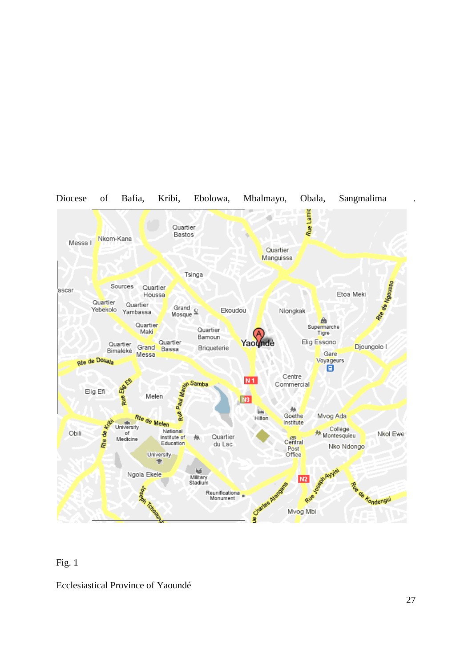

#### Fig. 1

Ecclesiastical Province of Yaoundé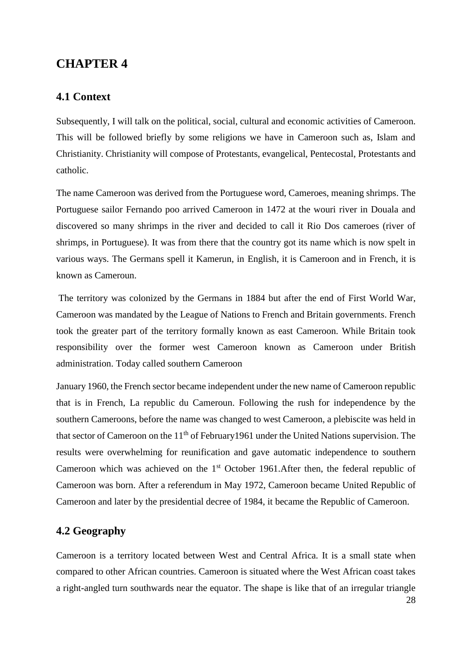## <span id="page-34-0"></span>**CHAPTER 4**

## <span id="page-34-1"></span>**4.1 Context**

Subsequently, I will talk on the political, social, cultural and economic activities of Cameroon. This will be followed briefly by some religions we have in Cameroon such as, Islam and Christianity. Christianity will compose of Protestants, evangelical, Pentecostal, Protestants and catholic.

The name Cameroon was derived from the Portuguese word, Cameroes, meaning shrimps. The Portuguese sailor Fernando poo arrived Cameroon in 1472 at the wouri river in Douala and discovered so many shrimps in the river and decided to call it Rio Dos cameroes (river of shrimps, in Portuguese). It was from there that the country got its name which is now spelt in various ways. The Germans spell it Kamerun, in English, it is Cameroon and in French, it is known as Cameroun.

The territory was colonized by the Germans in 1884 but after the end of First World War, Cameroon was mandated by the League of Nations to French and Britain governments. French took the greater part of the territory formally known as east Cameroon. While Britain took responsibility over the former west Cameroon known as Cameroon under British administration. Today called southern Cameroon

January 1960, the French sector became independent under the new name of Cameroon republic that is in French, La republic du Cameroun. Following the rush for independence by the southern Cameroons, before the name was changed to west Cameroon, a plebiscite was held in that sector of Cameroon on the  $11<sup>th</sup>$  of February1961 under the United Nations supervision. The results were overwhelming for reunification and gave automatic independence to southern Cameroon which was achieved on the  $1<sup>st</sup>$  October 1961.After then, the federal republic of Cameroon was born. After a referendum in May 1972, Cameroon became United Republic of Cameroon and later by the presidential decree of 1984, it became the Republic of Cameroon.

## <span id="page-34-2"></span>**4.2 Geography**

Cameroon is a territory located between West and Central Africa. It is a small state when compared to other African countries. Cameroon is situated where the West African coast takes a right-angled turn southwards near the equator. The shape is like that of an irregular triangle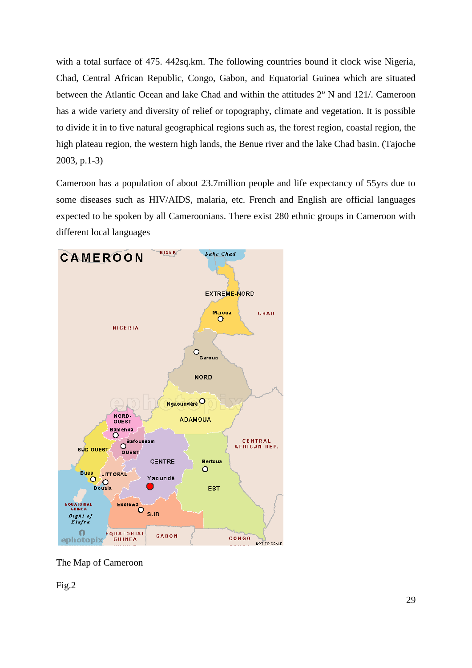with a total surface of 475. 442sq.km. The following countries bound it clock wise Nigeria, Chad, Central African Republic, Congo, Gabon, and Equatorial Guinea which are situated between the Atlantic Ocean and lake Chad and within the attitudes  $2^{\circ}$  N and 121/. Cameroon has a wide variety and diversity of relief or topography, climate and vegetation. It is possible to divide it in to five natural geographical regions such as, the forest region, coastal region, the high plateau region, the western high lands, the Benue river and the lake Chad basin. (Tajoche 2003, p.1-3)

Cameroon has a population of about 23.7million people and life expectancy of 55yrs due to some diseases such as HIV/AIDS, malaria, etc. French and English are official languages expected to be spoken by all Cameroonians. There exist 280 ethnic groups in Cameroon with different local languages



The Map of Cameroon

Fig.2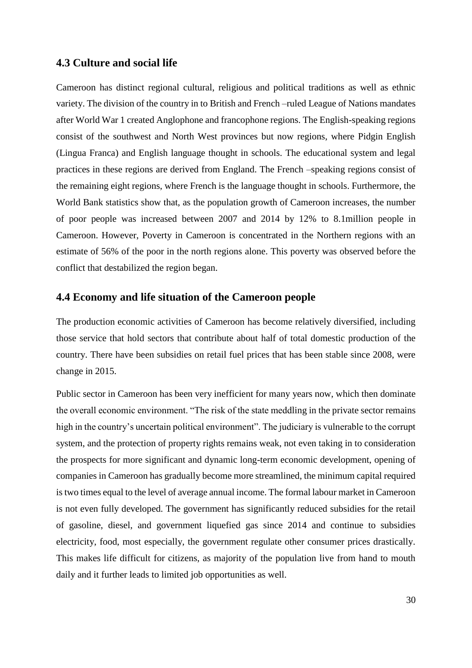## **4.3 Culture and social life**

Cameroon has distinct regional cultural, religious and political traditions as well as ethnic variety. The division of the country in to British and French –ruled League of Nations mandates after World War 1 created Anglophone and francophone regions. The English-speaking regions consist of the southwest and North West provinces but now regions, where Pidgin English (Lingua Franca) and English language thought in schools. The educational system and legal practices in these regions are derived from England. The French –speaking regions consist of the remaining eight regions, where French is the language thought in schools. Furthermore, the World Bank statistics show that, as the population growth of Cameroon increases, the number of poor people was increased between 2007 and 2014 by 12% to 8.1million people in Cameroon. However, Poverty in Cameroon is concentrated in the Northern regions with an estimate of 56% of the poor in the north regions alone. This poverty was observed before the conflict that destabilized the region began.

### **4.4 Economy and life situation of the Cameroon people**

The production economic activities of Cameroon has become relatively diversified, including those service that hold sectors that contribute about half of total domestic production of the country. There have been subsidies on retail fuel prices that has been stable since 2008, were change in 2015.

Public sector in Cameroon has been very inefficient for many years now, which then dominate the overall economic environment. "The risk of the state meddling in the private sector remains high in the country's uncertain political environment". The judiciary is vulnerable to the corrupt system, and the protection of property rights remains weak, not even taking in to consideration the prospects for more significant and dynamic long-term economic development, opening of companies in Cameroon has gradually become more streamlined, the minimum capital required is two times equal to the level of average annual income. The formal labour market in Cameroon is not even fully developed. The government has significantly reduced subsidies for the retail of gasoline, diesel, and government liquefied gas since 2014 and continue to subsidies electricity, food, most especially, the government regulate other consumer prices drastically. This makes life difficult for citizens, as majority of the population live from hand to mouth daily and it further leads to limited job opportunities as well.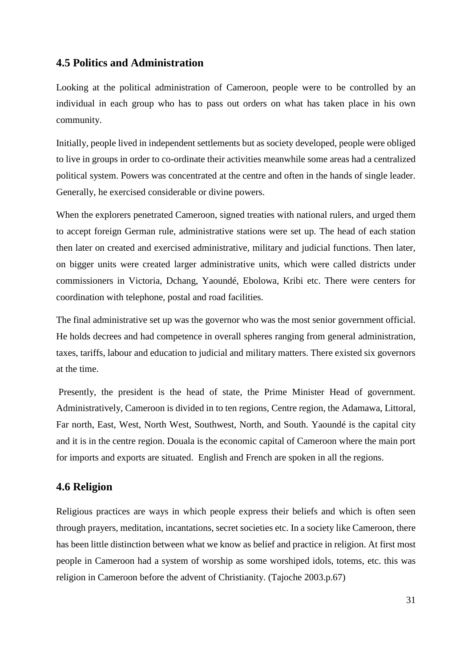## **4.5 Politics and Administration**

Looking at the political administration of Cameroon, people were to be controlled by an individual in each group who has to pass out orders on what has taken place in his own community.

Initially, people lived in independent settlements but as society developed, people were obliged to live in groups in order to co-ordinate their activities meanwhile some areas had a centralized political system. Powers was concentrated at the centre and often in the hands of single leader. Generally, he exercised considerable or divine powers.

When the explorers penetrated Cameroon, signed treaties with national rulers, and urged them to accept foreign German rule, administrative stations were set up. The head of each station then later on created and exercised administrative, military and judicial functions. Then later, on bigger units were created larger administrative units, which were called districts under commissioners in Victoria, Dchang, Yaoundé, Ebolowa, Kribi etc. There were centers for coordination with telephone, postal and road facilities.

The final administrative set up was the governor who was the most senior government official. He holds decrees and had competence in overall spheres ranging from general administration, taxes, tariffs, labour and education to judicial and military matters. There existed six governors at the time.

Presently, the president is the head of state, the Prime Minister Head of government. Administratively, Cameroon is divided in to ten regions, Centre region, the Adamawa, Littoral, Far north, East, West, North West, Southwest, North, and South. Yaoundé is the capital city and it is in the centre region. Douala is the economic capital of Cameroon where the main port for imports and exports are situated. English and French are spoken in all the regions.

## **4.6 Religion**

Religious practices are ways in which people express their beliefs and which is often seen through prayers, meditation, incantations, secret societies etc. In a society like Cameroon, there has been little distinction between what we know as belief and practice in religion. At first most people in Cameroon had a system of worship as some worshiped idols, totems, etc. this was religion in Cameroon before the advent of Christianity. (Tajoche 2003.p.67)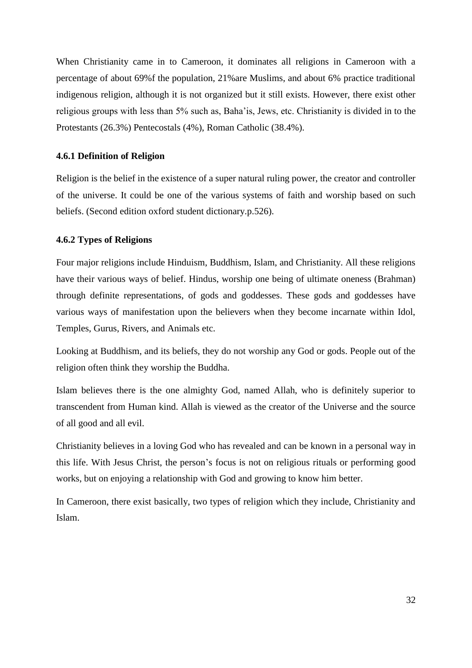When Christianity came in to Cameroon, it dominates all religions in Cameroon with a percentage of about 69%f the population, 21%are Muslims, and about 6% practice traditional indigenous religion, although it is not organized but it still exists. However, there exist other religious groups with less than 5% such as, Baha'is, Jews, etc. Christianity is divided in to the Protestants (26.3%) Pentecostals (4%), Roman Catholic (38.4%).

### **4.6.1 Definition of Religion**

Religion is the belief in the existence of a super natural ruling power, the creator and controller of the universe. It could be one of the various systems of faith and worship based on such beliefs. (Second edition oxford student dictionary.p.526).

### **4.6.2 Types of Religions**

Four major religions include Hinduism, Buddhism, Islam, and Christianity. All these religions have their various ways of belief. Hindus, worship one being of ultimate oneness (Brahman) through definite representations, of gods and goddesses. These gods and goddesses have various ways of manifestation upon the believers when they become incarnate within Idol, Temples, Gurus, Rivers, and Animals etc.

Looking at Buddhism, and its beliefs, they do not worship any God or gods. People out of the religion often think they worship the Buddha.

Islam believes there is the one almighty God, named Allah, who is definitely superior to transcendent from Human kind. Allah is viewed as the creator of the Universe and the source of all good and all evil.

Christianity believes in a loving God who has revealed and can be known in a personal way in this life. With Jesus Christ, the person's focus is not on religious rituals or performing good works, but on enjoying a relationship with God and growing to know him better.

In Cameroon, there exist basically, two types of religion which they include, Christianity and Islam.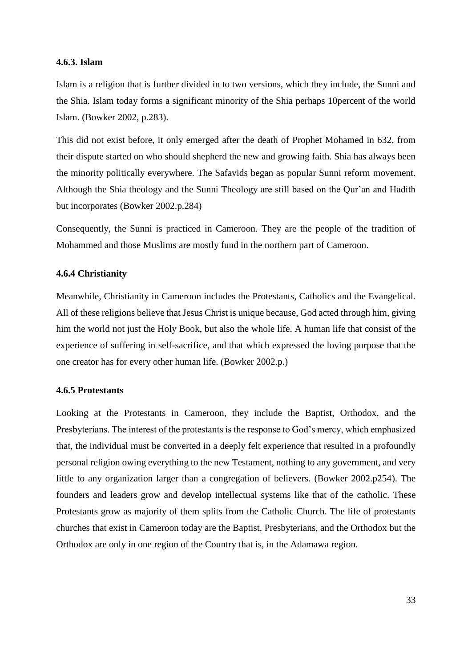#### **4.6.3. Islam**

Islam is a religion that is further divided in to two versions, which they include, the Sunni and the Shia. Islam today forms a significant minority of the Shia perhaps 10percent of the world Islam. (Bowker 2002, p.283).

This did not exist before, it only emerged after the death of Prophet Mohamed in 632, from their dispute started on who should shepherd the new and growing faith. Shia has always been the minority politically everywhere. The Safavids began as popular Sunni reform movement. Although the Shia theology and the Sunni Theology are still based on the Qur'an and Hadith but incorporates (Bowker 2002.p.284)

Consequently, the Sunni is practiced in Cameroon. They are the people of the tradition of Mohammed and those Muslims are mostly fund in the northern part of Cameroon.

### **4.6.4 Christianity**

Meanwhile, Christianity in Cameroon includes the Protestants, Catholics and the Evangelical. All of these religions believe that Jesus Christ is unique because, God acted through him, giving him the world not just the Holy Book, but also the whole life. A human life that consist of the experience of suffering in self-sacrifice, and that which expressed the loving purpose that the one creator has for every other human life. (Bowker 2002.p.)

#### **4.6.5 Protestants**

Looking at the Protestants in Cameroon, they include the Baptist, Orthodox, and the Presbyterians. The interest of the protestants is the response to God's mercy, which emphasized that, the individual must be converted in a deeply felt experience that resulted in a profoundly personal religion owing everything to the new Testament, nothing to any government, and very little to any organization larger than a congregation of believers. (Bowker 2002.p254). The founders and leaders grow and develop intellectual systems like that of the catholic. These Protestants grow as majority of them splits from the Catholic Church. The life of protestants churches that exist in Cameroon today are the Baptist, Presbyterians, and the Orthodox but the Orthodox are only in one region of the Country that is, in the Adamawa region.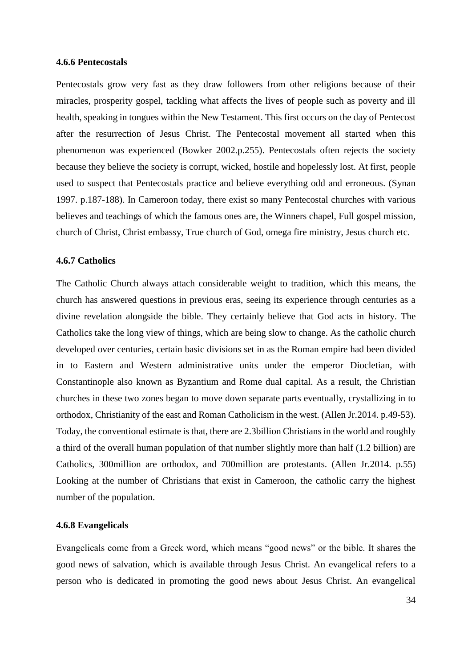#### **4.6.6 Pentecostals**

Pentecostals grow very fast as they draw followers from other religions because of their miracles, prosperity gospel, tackling what affects the lives of people such as poverty and ill health, speaking in tongues within the New Testament. This first occurs on the day of Pentecost after the resurrection of Jesus Christ. The Pentecostal movement all started when this phenomenon was experienced (Bowker 2002.p.255). Pentecostals often rejects the society because they believe the society is corrupt, wicked, hostile and hopelessly lost. At first, people used to suspect that Pentecostals practice and believe everything odd and erroneous. (Synan 1997. p.187-188). In Cameroon today, there exist so many Pentecostal churches with various believes and teachings of which the famous ones are, the Winners chapel, Full gospel mission, church of Christ, Christ embassy, True church of God, omega fire ministry, Jesus church etc.

#### **4.6.7 Catholics**

The Catholic Church always attach considerable weight to tradition, which this means, the church has answered questions in previous eras, seeing its experience through centuries as a divine revelation alongside the bible. They certainly believe that God acts in history. The Catholics take the long view of things, which are being slow to change. As the catholic church developed over centuries, certain basic divisions set in as the Roman empire had been divided in to Eastern and Western administrative units under the emperor Diocletian, with Constantinople also known as Byzantium and Rome dual capital. As a result, the Christian churches in these two zones began to move down separate parts eventually, crystallizing in to orthodox, Christianity of the east and Roman Catholicism in the west. (Allen Jr.2014. p.49-53). Today, the conventional estimate is that, there are 2.3billion Christians in the world and roughly a third of the overall human population of that number slightly more than half (1.2 billion) are Catholics, 300million are orthodox, and 700million are protestants. (Allen Jr.2014. p.55) Looking at the number of Christians that exist in Cameroon, the catholic carry the highest number of the population.

#### **4.6.8 Evangelicals**

Evangelicals come from a Greek word, which means "good news" or the bible. It shares the good news of salvation, which is available through Jesus Christ. An evangelical refers to a person who is dedicated in promoting the good news about Jesus Christ. An evangelical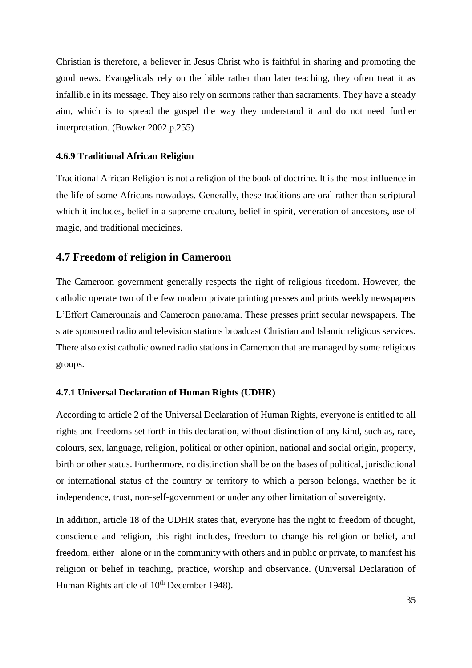Christian is therefore, a believer in Jesus Christ who is faithful in sharing and promoting the good news. Evangelicals rely on the bible rather than later teaching, they often treat it as infallible in its message. They also rely on sermons rather than sacraments. They have a steady aim, which is to spread the gospel the way they understand it and do not need further interpretation. (Bowker 2002.p.255)

#### **4.6.9 Traditional African Religion**

Traditional African Religion is not a religion of the book of doctrine. It is the most influence in the life of some Africans nowadays. Generally, these traditions are oral rather than scriptural which it includes, belief in a supreme creature, belief in spirit, veneration of ancestors, use of magic, and traditional medicines.

## **4.7 Freedom of religion in Cameroon**

The Cameroon government generally respects the right of religious freedom. However, the catholic operate two of the few modern private printing presses and prints weekly newspapers L'Effort Camerounais and Cameroon panorama. These presses print secular newspapers. The state sponsored radio and television stations broadcast Christian and Islamic religious services. There also exist catholic owned radio stations in Cameroon that are managed by some religious groups.

#### **4.7.1 Universal Declaration of Human Rights (UDHR)**

According to article 2 of the Universal Declaration of Human Rights, everyone is entitled to all rights and freedoms set forth in this declaration, without distinction of any kind, such as, race, colours, sex, language, religion, political or other opinion, national and social origin, property, birth or other status. Furthermore, no distinction shall be on the bases of political, jurisdictional or international status of the country or territory to which a person belongs, whether be it independence, trust, non-self-government or under any other limitation of sovereignty.

In addition, article 18 of the UDHR states that, everyone has the right to freedom of thought, conscience and religion, this right includes, freedom to change his religion or belief, and freedom, either alone or in the community with others and in public or private, to manifest his religion or belief in teaching, practice, worship and observance. (Universal Declaration of Human Rights article of  $10<sup>th</sup>$  December 1948).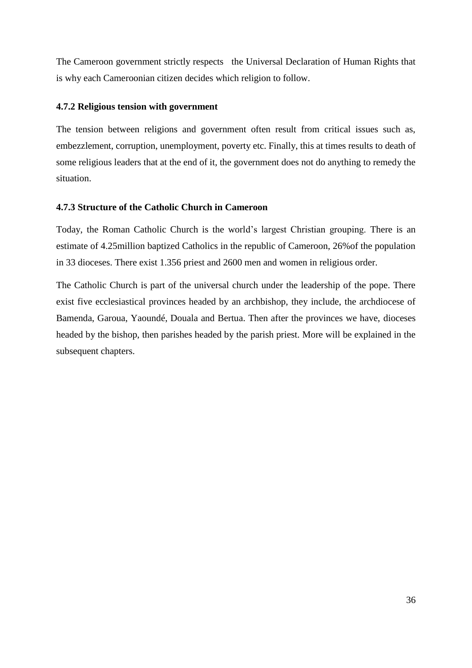The Cameroon government strictly respects the Universal Declaration of Human Rights that is why each Cameroonian citizen decides which religion to follow.

## **4.7.2 Religious tension with government**

The tension between religions and government often result from critical issues such as, embezzlement, corruption, unemployment, poverty etc. Finally, this at times results to death of some religious leaders that at the end of it, the government does not do anything to remedy the situation.

### **4.7.3 Structure of the Catholic Church in Cameroon**

Today, the Roman Catholic Church is the world's largest Christian grouping. There is an estimate of 4.25million baptized Catholics in the republic of Cameroon, 26%of the population in 33 dioceses. There exist 1.356 priest and 2600 men and women in religious order.

The Catholic Church is part of the universal church under the leadership of the pope. There exist five ecclesiastical provinces headed by an archbishop, they include, the archdiocese of Bamenda, Garoua, Yaoundé, Douala and Bertua. Then after the provinces we have, dioceses headed by the bishop, then parishes headed by the parish priest. More will be explained in the subsequent chapters.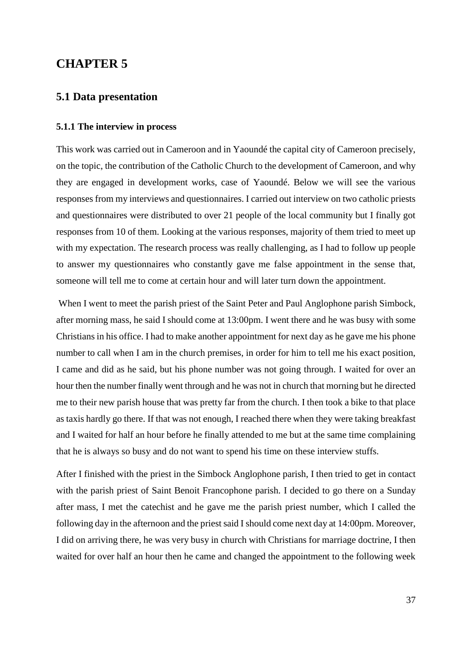# **CHAPTER 5**

### **5.1 Data presentation**

#### **5.1.1 The interview in process**

This work was carried out in Cameroon and in Yaoundé the capital city of Cameroon precisely, on the topic, the contribution of the Catholic Church to the development of Cameroon, and why they are engaged in development works, case of Yaoundé. Below we will see the various responses from my interviews and questionnaires. I carried out interview on two catholic priests and questionnaires were distributed to over 21 people of the local community but I finally got responses from 10 of them. Looking at the various responses, majority of them tried to meet up with my expectation. The research process was really challenging, as I had to follow up people to answer my questionnaires who constantly gave me false appointment in the sense that, someone will tell me to come at certain hour and will later turn down the appointment.

When I went to meet the parish priest of the Saint Peter and Paul Anglophone parish Simbock, after morning mass, he said I should come at 13:00pm. I went there and he was busy with some Christians in his office. I had to make another appointment for next day as he gave me his phone number to call when I am in the church premises, in order for him to tell me his exact position, I came and did as he said, but his phone number was not going through. I waited for over an hour then the number finally went through and he was not in church that morning but he directed me to their new parish house that was pretty far from the church. I then took a bike to that place as taxis hardly go there. If that was not enough, I reached there when they were taking breakfast and I waited for half an hour before he finally attended to me but at the same time complaining that he is always so busy and do not want to spend his time on these interview stuffs.

After I finished with the priest in the Simbock Anglophone parish, I then tried to get in contact with the parish priest of Saint Benoit Francophone parish. I decided to go there on a Sunday after mass, I met the catechist and he gave me the parish priest number, which I called the following day in the afternoon and the priest said I should come next day at 14:00pm. Moreover, I did on arriving there, he was very busy in church with Christians for marriage doctrine, I then waited for over half an hour then he came and changed the appointment to the following week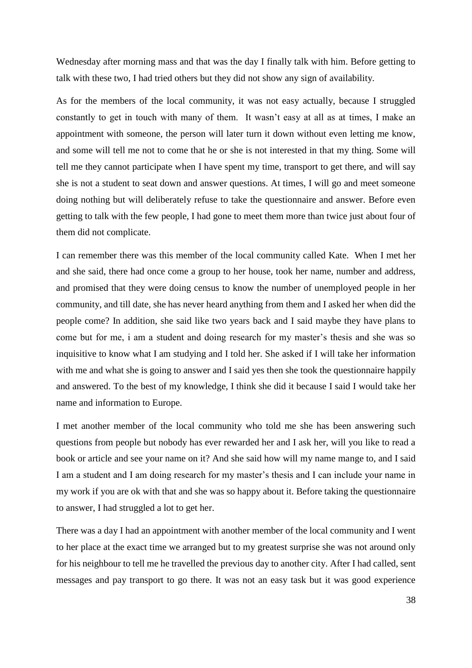Wednesday after morning mass and that was the day I finally talk with him. Before getting to talk with these two, I had tried others but they did not show any sign of availability.

As for the members of the local community, it was not easy actually, because I struggled constantly to get in touch with many of them. It wasn't easy at all as at times, I make an appointment with someone, the person will later turn it down without even letting me know, and some will tell me not to come that he or she is not interested in that my thing. Some will tell me they cannot participate when I have spent my time, transport to get there, and will say she is not a student to seat down and answer questions. At times, I will go and meet someone doing nothing but will deliberately refuse to take the questionnaire and answer. Before even getting to talk with the few people, I had gone to meet them more than twice just about four of them did not complicate.

I can remember there was this member of the local community called Kate. When I met her and she said, there had once come a group to her house, took her name, number and address, and promised that they were doing census to know the number of unemployed people in her community, and till date, she has never heard anything from them and I asked her when did the people come? In addition, she said like two years back and I said maybe they have plans to come but for me, i am a student and doing research for my master's thesis and she was so inquisitive to know what I am studying and I told her. She asked if I will take her information with me and what she is going to answer and I said yes then she took the questionnaire happily and answered. To the best of my knowledge, I think she did it because I said I would take her name and information to Europe.

I met another member of the local community who told me she has been answering such questions from people but nobody has ever rewarded her and I ask her, will you like to read a book or article and see your name on it? And she said how will my name mange to, and I said I am a student and I am doing research for my master's thesis and I can include your name in my work if you are ok with that and she was so happy about it. Before taking the questionnaire to answer, I had struggled a lot to get her.

There was a day I had an appointment with another member of the local community and I went to her place at the exact time we arranged but to my greatest surprise she was not around only for his neighbour to tell me he travelled the previous day to another city. After I had called, sent messages and pay transport to go there. It was not an easy task but it was good experience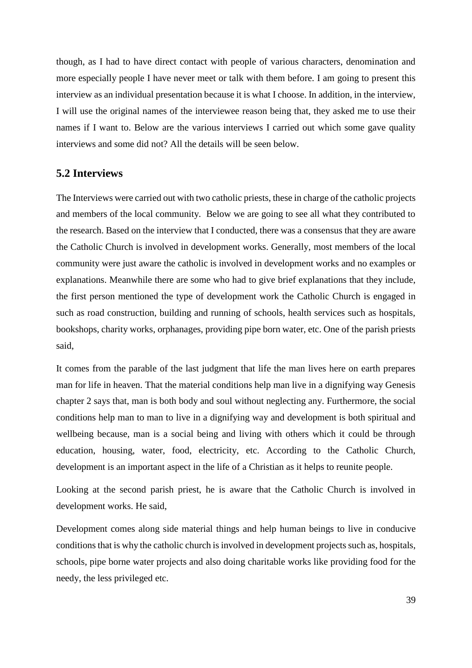though, as I had to have direct contact with people of various characters, denomination and more especially people I have never meet or talk with them before. I am going to present this interview as an individual presentation because it is what I choose. In addition, in the interview, I will use the original names of the interviewee reason being that, they asked me to use their names if I want to. Below are the various interviews I carried out which some gave quality interviews and some did not? All the details will be seen below.

### **5.2 Interviews**

The Interviews were carried out with two catholic priests, these in charge of the catholic projects and members of the local community. Below we are going to see all what they contributed to the research. Based on the interview that I conducted, there was a consensus that they are aware the Catholic Church is involved in development works. Generally, most members of the local community were just aware the catholic is involved in development works and no examples or explanations. Meanwhile there are some who had to give brief explanations that they include, the first person mentioned the type of development work the Catholic Church is engaged in such as road construction, building and running of schools, health services such as hospitals, bookshops, charity works, orphanages, providing pipe born water, etc. One of the parish priests said,

It comes from the parable of the last judgment that life the man lives here on earth prepares man for life in heaven. That the material conditions help man live in a dignifying way Genesis chapter 2 says that, man is both body and soul without neglecting any. Furthermore, the social conditions help man to man to live in a dignifying way and development is both spiritual and wellbeing because, man is a social being and living with others which it could be through education, housing, water, food, electricity, etc. According to the Catholic Church, development is an important aspect in the life of a Christian as it helps to reunite people.

Looking at the second parish priest, he is aware that the Catholic Church is involved in development works. He said,

Development comes along side material things and help human beings to live in conducive conditions that is why the catholic church is involved in development projects such as, hospitals, schools, pipe borne water projects and also doing charitable works like providing food for the needy, the less privileged etc.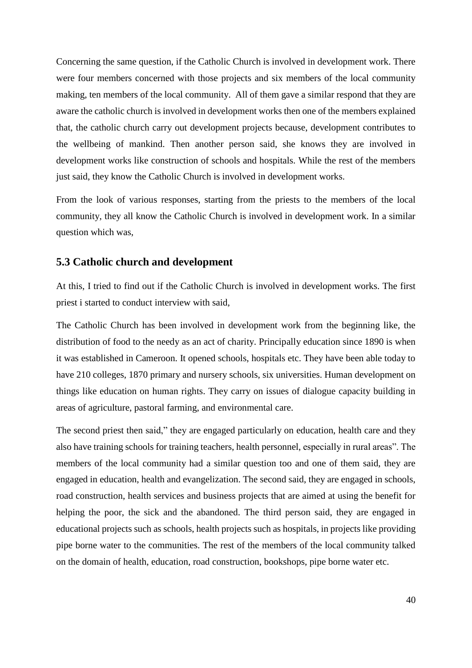Concerning the same question, if the Catholic Church is involved in development work. There were four members concerned with those projects and six members of the local community making, ten members of the local community. All of them gave a similar respond that they are aware the catholic church is involved in development works then one of the members explained that, the catholic church carry out development projects because, development contributes to the wellbeing of mankind. Then another person said, she knows they are involved in development works like construction of schools and hospitals. While the rest of the members just said, they know the Catholic Church is involved in development works.

From the look of various responses, starting from the priests to the members of the local community, they all know the Catholic Church is involved in development work. In a similar question which was,

### **5.3 Catholic church and development**

At this, I tried to find out if the Catholic Church is involved in development works. The first priest i started to conduct interview with said,

The Catholic Church has been involved in development work from the beginning like, the distribution of food to the needy as an act of charity. Principally education since 1890 is when it was established in Cameroon. It opened schools, hospitals etc. They have been able today to have 210 colleges, 1870 primary and nursery schools, six universities. Human development on things like education on human rights. They carry on issues of dialogue capacity building in areas of agriculture, pastoral farming, and environmental care.

The second priest then said," they are engaged particularly on education, health care and they also have training schools for training teachers, health personnel, especially in rural areas". The members of the local community had a similar question too and one of them said, they are engaged in education, health and evangelization. The second said, they are engaged in schools, road construction, health services and business projects that are aimed at using the benefit for helping the poor, the sick and the abandoned. The third person said, they are engaged in educational projects such as schools, health projects such as hospitals, in projects like providing pipe borne water to the communities. The rest of the members of the local community talked on the domain of health, education, road construction, bookshops, pipe borne water etc.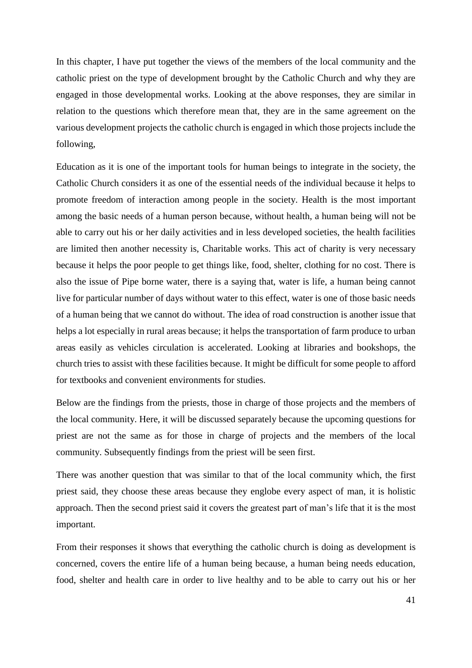In this chapter, I have put together the views of the members of the local community and the catholic priest on the type of development brought by the Catholic Church and why they are engaged in those developmental works. Looking at the above responses, they are similar in relation to the questions which therefore mean that, they are in the same agreement on the various development projects the catholic church is engaged in which those projects include the following,

Education as it is one of the important tools for human beings to integrate in the society, the Catholic Church considers it as one of the essential needs of the individual because it helps to promote freedom of interaction among people in the society. Health is the most important among the basic needs of a human person because, without health, a human being will not be able to carry out his or her daily activities and in less developed societies, the health facilities are limited then another necessity is, Charitable works. This act of charity is very necessary because it helps the poor people to get things like, food, shelter, clothing for no cost. There is also the issue of Pipe borne water, there is a saying that, water is life, a human being cannot live for particular number of days without water to this effect, water is one of those basic needs of a human being that we cannot do without. The idea of road construction is another issue that helps a lot especially in rural areas because; it helps the transportation of farm produce to urban areas easily as vehicles circulation is accelerated. Looking at libraries and bookshops, the church tries to assist with these facilities because. It might be difficult for some people to afford for textbooks and convenient environments for studies.

Below are the findings from the priests, those in charge of those projects and the members of the local community. Here, it will be discussed separately because the upcoming questions for priest are not the same as for those in charge of projects and the members of the local community. Subsequently findings from the priest will be seen first.

There was another question that was similar to that of the local community which, the first priest said, they choose these areas because they englobe every aspect of man, it is holistic approach. Then the second priest said it covers the greatest part of man's life that it is the most important.

From their responses it shows that everything the catholic church is doing as development is concerned, covers the entire life of a human being because, a human being needs education, food, shelter and health care in order to live healthy and to be able to carry out his or her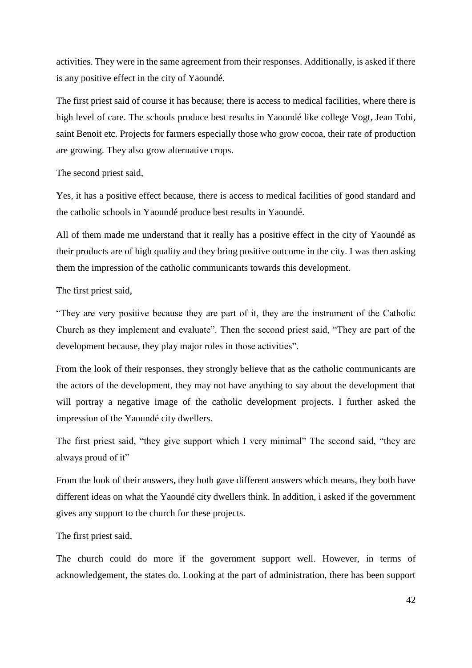activities. They were in the same agreement from their responses. Additionally, is asked if there is any positive effect in the city of Yaoundé.

The first priest said of course it has because; there is access to medical facilities, where there is high level of care. The schools produce best results in Yaoundé like college Vogt, Jean Tobi, saint Benoit etc. Projects for farmers especially those who grow cocoa, their rate of production are growing. They also grow alternative crops.

The second priest said,

Yes, it has a positive effect because, there is access to medical facilities of good standard and the catholic schools in Yaoundé produce best results in Yaoundé.

All of them made me understand that it really has a positive effect in the city of Yaoundé as their products are of high quality and they bring positive outcome in the city. I was then asking them the impression of the catholic communicants towards this development.

The first priest said,

"They are very positive because they are part of it, they are the instrument of the Catholic Church as they implement and evaluate". Then the second priest said, "They are part of the development because, they play major roles in those activities".

From the look of their responses, they strongly believe that as the catholic communicants are the actors of the development, they may not have anything to say about the development that will portray a negative image of the catholic development projects. I further asked the impression of the Yaoundé city dwellers.

The first priest said, "they give support which I very minimal" The second said, "they are always proud of it"

From the look of their answers, they both gave different answers which means, they both have different ideas on what the Yaoundé city dwellers think. In addition, i asked if the government gives any support to the church for these projects.

The first priest said,

The church could do more if the government support well. However, in terms of acknowledgement, the states do. Looking at the part of administration, there has been support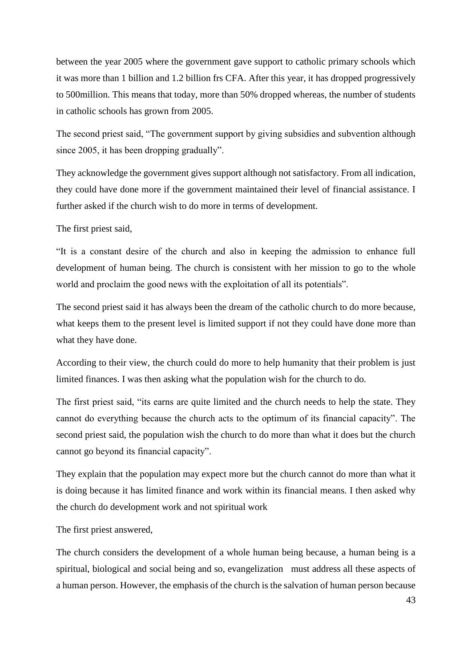between the year 2005 where the government gave support to catholic primary schools which it was more than 1 billion and 1.2 billion frs CFA. After this year, it has dropped progressively to 500million. This means that today, more than 50% dropped whereas, the number of students in catholic schools has grown from 2005.

The second priest said, "The government support by giving subsidies and subvention although since 2005, it has been dropping gradually".

They acknowledge the government gives support although not satisfactory. From all indication, they could have done more if the government maintained their level of financial assistance. I further asked if the church wish to do more in terms of development.

The first priest said,

"It is a constant desire of the church and also in keeping the admission to enhance full development of human being. The church is consistent with her mission to go to the whole world and proclaim the good news with the exploitation of all its potentials".

The second priest said it has always been the dream of the catholic church to do more because, what keeps them to the present level is limited support if not they could have done more than what they have done.

According to their view, the church could do more to help humanity that their problem is just limited finances. I was then asking what the population wish for the church to do.

The first priest said, "its earns are quite limited and the church needs to help the state. They cannot do everything because the church acts to the optimum of its financial capacity". The second priest said, the population wish the church to do more than what it does but the church cannot go beyond its financial capacity".

They explain that the population may expect more but the church cannot do more than what it is doing because it has limited finance and work within its financial means. I then asked why the church do development work and not spiritual work

The first priest answered,

The church considers the development of a whole human being because, a human being is a spiritual, biological and social being and so, evangelization must address all these aspects of a human person. However, the emphasis of the church is the salvation of human person because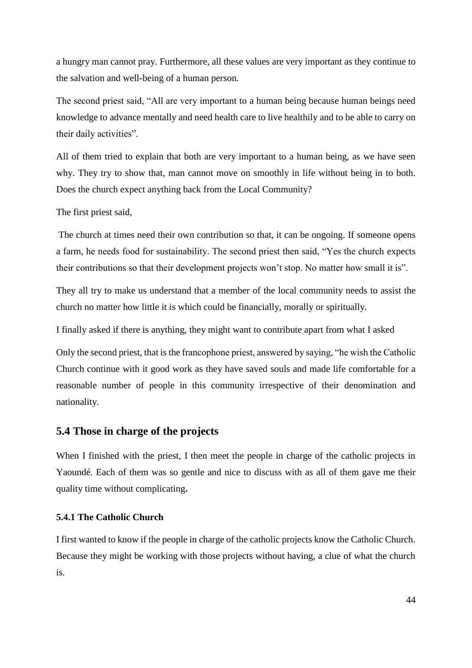a hungry man cannot pray. Furthermore, all these values are very important as they continue to the salvation and well-being of a human person.

The second priest said, "All are very important to a human being because human beings need knowledge to advance mentally and need health care to live healthily and to be able to carry on their daily activities".

All of them tried to explain that both are very important to a human being, as we have seen why. They try to show that, man cannot move on smoothly in life without being in to both. Does the church expect anything back from the Local Community?

The first priest said,

The church at times need their own contribution so that, it can be ongoing. If someone opens a farm, he needs food for sustainability. The second priest then said, "Yes the church expects their contributions so that their development projects won't stop. No matter how small it is".

They all try to make us understand that a member of the local community needs to assist the church no matter how little it is which could be financially, morally or spiritually.

I finally asked if there is anything, they might want to contribute apart from what I asked

Only the second priest, that is the francophone priest, answered by saying, "he wish the Catholic Church continue with it good work as they have saved souls and made life comfortable for a reasonable number of people in this community irrespective of their denomination and nationality.

## **5.4 Those in charge of the projects**

When I finished with the priest, I then meet the people in charge of the catholic projects in Yaoundé. Each of them was so gentle and nice to discuss with as all of them gave me their quality time without complicating**.**

### **5.4.1 The Catholic Church**

I first wanted to know if the people in charge of the catholic projects know the Catholic Church. Because they might be working with those projects without having, a clue of what the church is.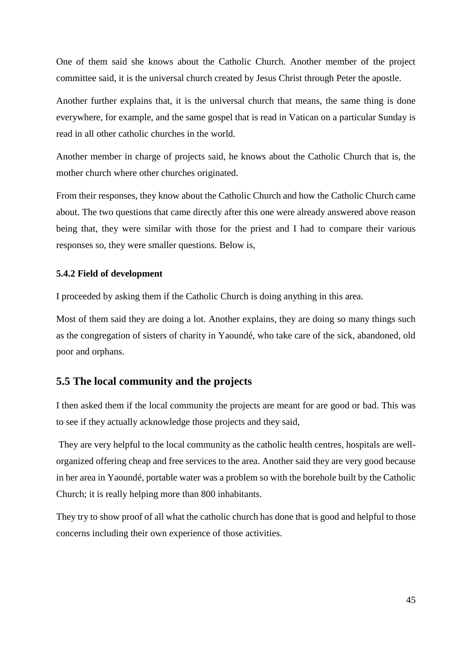One of them said she knows about the Catholic Church. Another member of the project committee said, it is the universal church created by Jesus Christ through Peter the apostle.

Another further explains that, it is the universal church that means, the same thing is done everywhere, for example, and the same gospel that is read in Vatican on a particular Sunday is read in all other catholic churches in the world.

Another member in charge of projects said, he knows about the Catholic Church that is, the mother church where other churches originated.

From their responses, they know about the Catholic Church and how the Catholic Church came about. The two questions that came directly after this one were already answered above reason being that, they were similar with those for the priest and I had to compare their various responses so, they were smaller questions. Below is,

#### **5.4.2 Field of development**

I proceeded by asking them if the Catholic Church is doing anything in this area.

Most of them said they are doing a lot. Another explains, they are doing so many things such as the congregation of sisters of charity in Yaoundé, who take care of the sick, abandoned, old poor and orphans.

## **5.5 The local community and the projects**

I then asked them if the local community the projects are meant for are good or bad. This was to see if they actually acknowledge those projects and they said,

They are very helpful to the local community as the catholic health centres, hospitals are wellorganized offering cheap and free services to the area. Another said they are very good because in her area in Yaoundé, portable water was a problem so with the borehole built by the Catholic Church; it is really helping more than 800 inhabitants.

They try to show proof of all what the catholic church has done that is good and helpful to those concerns including their own experience of those activities.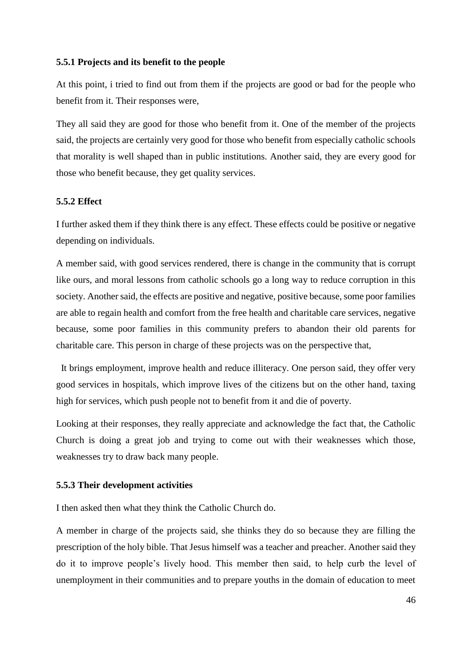#### **5.5.1 Projects and its benefit to the people**

At this point, i tried to find out from them if the projects are good or bad for the people who benefit from it. Their responses were,

They all said they are good for those who benefit from it. One of the member of the projects said, the projects are certainly very good for those who benefit from especially catholic schools that morality is well shaped than in public institutions. Another said, they are every good for those who benefit because, they get quality services.

#### **5.5.2 Effect**

I further asked them if they think there is any effect. These effects could be positive or negative depending on individuals.

A member said, with good services rendered, there is change in the community that is corrupt like ours, and moral lessons from catholic schools go a long way to reduce corruption in this society. Another said, the effects are positive and negative, positive because, some poor families are able to regain health and comfort from the free health and charitable care services, negative because, some poor families in this community prefers to abandon their old parents for charitable care. This person in charge of these projects was on the perspective that,

 It brings employment, improve health and reduce illiteracy. One person said, they offer very good services in hospitals, which improve lives of the citizens but on the other hand, taxing high for services, which push people not to benefit from it and die of poverty.

Looking at their responses, they really appreciate and acknowledge the fact that, the Catholic Church is doing a great job and trying to come out with their weaknesses which those, weaknesses try to draw back many people.

#### **5.5.3 Their development activities**

I then asked then what they think the Catholic Church do.

A member in charge of the projects said, she thinks they do so because they are filling the prescription of the holy bible. That Jesus himself was a teacher and preacher. Another said they do it to improve people's lively hood. This member then said, to help curb the level of unemployment in their communities and to prepare youths in the domain of education to meet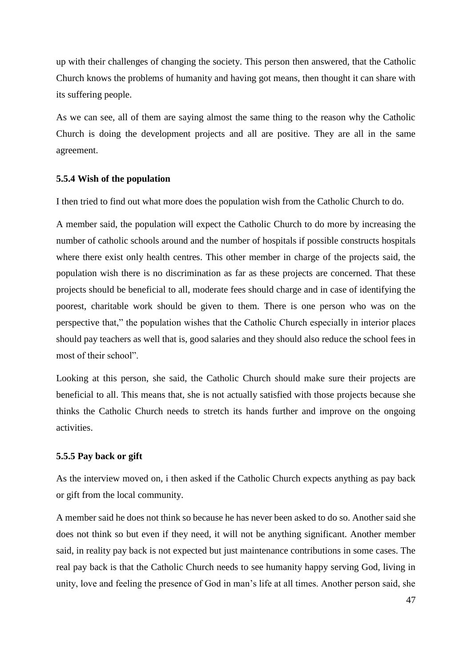up with their challenges of changing the society. This person then answered, that the Catholic Church knows the problems of humanity and having got means, then thought it can share with its suffering people.

As we can see, all of them are saying almost the same thing to the reason why the Catholic Church is doing the development projects and all are positive. They are all in the same agreement.

#### **5.5.4 Wish of the population**

I then tried to find out what more does the population wish from the Catholic Church to do.

A member said, the population will expect the Catholic Church to do more by increasing the number of catholic schools around and the number of hospitals if possible constructs hospitals where there exist only health centres. This other member in charge of the projects said, the population wish there is no discrimination as far as these projects are concerned. That these projects should be beneficial to all, moderate fees should charge and in case of identifying the poorest, charitable work should be given to them. There is one person who was on the perspective that," the population wishes that the Catholic Church especially in interior places should pay teachers as well that is, good salaries and they should also reduce the school fees in most of their school".

Looking at this person, she said, the Catholic Church should make sure their projects are beneficial to all. This means that, she is not actually satisfied with those projects because she thinks the Catholic Church needs to stretch its hands further and improve on the ongoing activities.

#### **5.5.5 Pay back or gift**

As the interview moved on, i then asked if the Catholic Church expects anything as pay back or gift from the local community.

A member said he does not think so because he has never been asked to do so. Another said she does not think so but even if they need, it will not be anything significant. Another member said, in reality pay back is not expected but just maintenance contributions in some cases. The real pay back is that the Catholic Church needs to see humanity happy serving God, living in unity, love and feeling the presence of God in man's life at all times. Another person said, she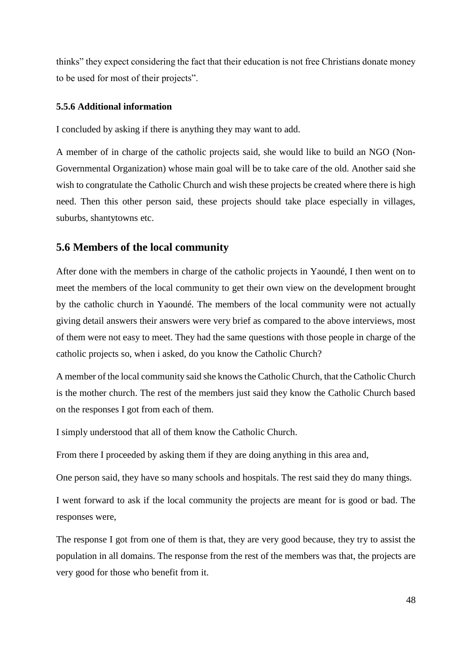thinks" they expect considering the fact that their education is not free Christians donate money to be used for most of their projects".

### **5.5.6 Additional information**

I concluded by asking if there is anything they may want to add.

A member of in charge of the catholic projects said, she would like to build an NGO (Non-Governmental Organization) whose main goal will be to take care of the old. Another said she wish to congratulate the Catholic Church and wish these projects be created where there is high need. Then this other person said, these projects should take place especially in villages, suburbs, shantytowns etc.

# **5.6 Members of the local community**

After done with the members in charge of the catholic projects in Yaoundé, I then went on to meet the members of the local community to get their own view on the development brought by the catholic church in Yaoundé. The members of the local community were not actually giving detail answers their answers were very brief as compared to the above interviews, most of them were not easy to meet. They had the same questions with those people in charge of the catholic projects so, when i asked, do you know the Catholic Church?

A member of the local community said she knows the Catholic Church, that the Catholic Church is the mother church. The rest of the members just said they know the Catholic Church based on the responses I got from each of them.

I simply understood that all of them know the Catholic Church.

From there I proceeded by asking them if they are doing anything in this area and,

One person said, they have so many schools and hospitals. The rest said they do many things.

I went forward to ask if the local community the projects are meant for is good or bad. The responses were,

The response I got from one of them is that, they are very good because, they try to assist the population in all domains. The response from the rest of the members was that, the projects are very good for those who benefit from it.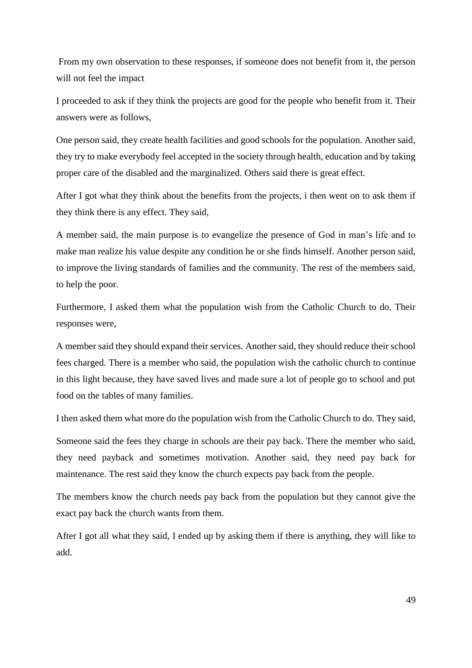From my own observation to these responses, if someone does not benefit from it, the person will not feel the impact

I proceeded to ask if they think the projects are good for the people who benefit from it. Their answers were as follows,

One person said, they create health facilities and good schools for the population. Another said, they try to make everybody feel accepted in the society through health, education and by taking proper care of the disabled and the marginalized. Others said there is great effect.

After I got what they think about the benefits from the projects, i then went on to ask them if they think there is any effect. They said,

A member said, the main purpose is to evangelize the presence of God in man's life and to make man realize his value despite any condition he or she finds himself. Another person said, to improve the living standards of families and the community. The rest of the members said, to help the poor.

Furthermore, I asked them what the population wish from the Catholic Church to do. Their responses were,

A member said they should expand their services. Another said, they should reduce their school fees charged. There is a member who said, the population wish the catholic church to continue in this light because, they have saved lives and made sure a lot of people go to school and put food on the tables of many families.

I then asked them what more do the population wish from the Catholic Church to do. They said,

Someone said the fees they charge in schools are their pay back. There the member who said, they need payback and sometimes motivation. Another said, they need pay back for maintenance. The rest said they know the church expects pay back from the people.

The members know the church needs pay back from the population but they cannot give the exact pay back the church wants from them.

After I got all what they said, I ended up by asking them if there is anything, they will like to add.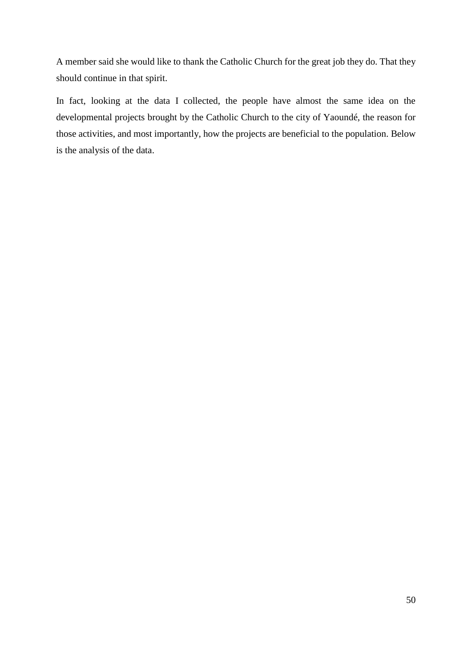A member said she would like to thank the Catholic Church for the great job they do. That they should continue in that spirit.

In fact, looking at the data I collected, the people have almost the same idea on the developmental projects brought by the Catholic Church to the city of Yaoundé, the reason for those activities, and most importantly, how the projects are beneficial to the population. Below is the analysis of the data.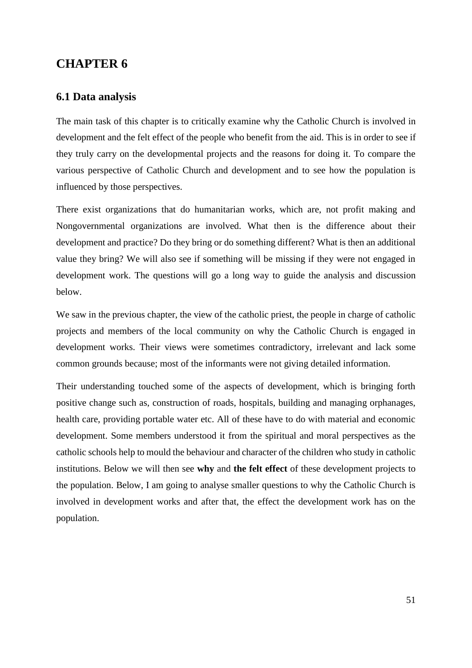# **CHAPTER 6**

## **6.1 Data analysis**

The main task of this chapter is to critically examine why the Catholic Church is involved in development and the felt effect of the people who benefit from the aid. This is in order to see if they truly carry on the developmental projects and the reasons for doing it. To compare the various perspective of Catholic Church and development and to see how the population is influenced by those perspectives.

There exist organizations that do humanitarian works, which are, not profit making and Nongovernmental organizations are involved. What then is the difference about their development and practice? Do they bring or do something different? What is then an additional value they bring? We will also see if something will be missing if they were not engaged in development work. The questions will go a long way to guide the analysis and discussion below.

We saw in the previous chapter, the view of the catholic priest, the people in charge of catholic projects and members of the local community on why the Catholic Church is engaged in development works. Their views were sometimes contradictory, irrelevant and lack some common grounds because; most of the informants were not giving detailed information.

Their understanding touched some of the aspects of development, which is bringing forth positive change such as, construction of roads, hospitals, building and managing orphanages, health care, providing portable water etc. All of these have to do with material and economic development. Some members understood it from the spiritual and moral perspectives as the catholic schools help to mould the behaviour and character of the children who study in catholic institutions. Below we will then see **why** and **the felt effect** of these development projects to the population. Below, I am going to analyse smaller questions to why the Catholic Church is involved in development works and after that, the effect the development work has on the population.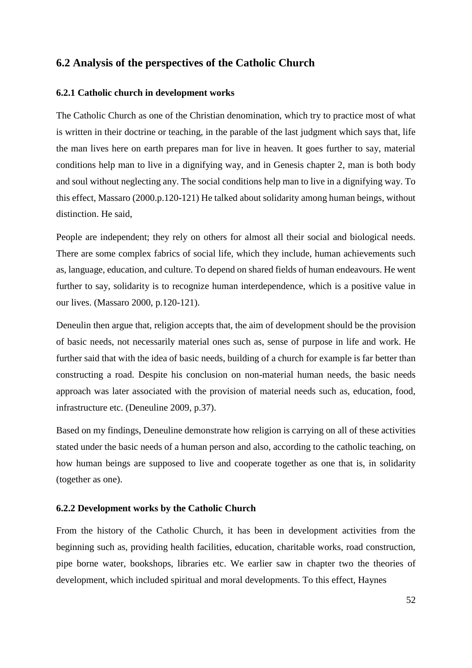## **6.2 Analysis of the perspectives of the Catholic Church**

#### **6.2.1 Catholic church in development works**

The Catholic Church as one of the Christian denomination, which try to practice most of what is written in their doctrine or teaching, in the parable of the last judgment which says that, life the man lives here on earth prepares man for live in heaven. It goes further to say, material conditions help man to live in a dignifying way, and in Genesis chapter 2, man is both body and soul without neglecting any. The social conditions help man to live in a dignifying way. To this effect, Massaro (2000.p.120-121) He talked about solidarity among human beings, without distinction. He said,

People are independent; they rely on others for almost all their social and biological needs. There are some complex fabrics of social life, which they include, human achievements such as, language, education, and culture. To depend on shared fields of human endeavours. He went further to say, solidarity is to recognize human interdependence, which is a positive value in our lives. (Massaro 2000, p.120-121).

Deneulin then argue that, religion accepts that, the aim of development should be the provision of basic needs, not necessarily material ones such as, sense of purpose in life and work. He further said that with the idea of basic needs, building of a church for example is far better than constructing a road. Despite his conclusion on non-material human needs, the basic needs approach was later associated with the provision of material needs such as, education, food, infrastructure etc. (Deneuline 2009, p.37).

Based on my findings, Deneuline demonstrate how religion is carrying on all of these activities stated under the basic needs of a human person and also, according to the catholic teaching, on how human beings are supposed to live and cooperate together as one that is, in solidarity (together as one).

#### **6.2.2 Development works by the Catholic Church**

From the history of the Catholic Church, it has been in development activities from the beginning such as, providing health facilities, education, charitable works, road construction, pipe borne water, bookshops, libraries etc. We earlier saw in chapter two the theories of development, which included spiritual and moral developments. To this effect, Haynes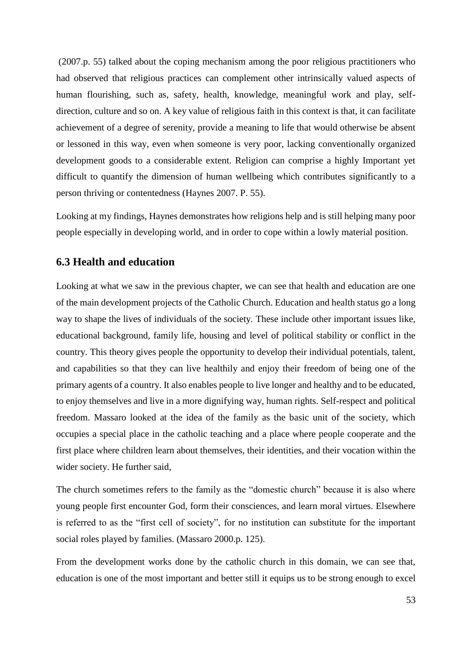(2007.p. 55) talked about the coping mechanism among the poor religious practitioners who had observed that religious practices can complement other intrinsically valued aspects of human flourishing, such as, safety, health, knowledge, meaningful work and play, selfdirection, culture and so on. A key value of religious faith in this context is that, it can facilitate achievement of a degree of serenity, provide a meaning to life that would otherwise be absent or lessoned in this way, even when someone is very poor, lacking conventionally organized development goods to a considerable extent. Religion can comprise a highly Important yet difficult to quantify the dimension of human wellbeing which contributes significantly to a person thriving or contentedness (Haynes 2007. P. 55).

Looking at my findings, Haynes demonstrates how religions help and is still helping many poor people especially in developing world, and in order to cope within a lowly material position.

## **6.3 Health and education**

Looking at what we saw in the previous chapter, we can see that health and education are one of the main development projects of the Catholic Church. Education and health status go a long way to shape the lives of individuals of the society. These include other important issues like, educational background, family life, housing and level of political stability or conflict in the country. This theory gives people the opportunity to develop their individual potentials, talent, and capabilities so that they can live healthily and enjoy their freedom of being one of the primary agents of a country. It also enables people to live longer and healthy and to be educated, to enjoy themselves and live in a more dignifying way, human rights. Self-respect and political freedom. Massaro looked at the idea of the family as the basic unit of the society, which occupies a special place in the catholic teaching and a place where people cooperate and the first place where children learn about themselves, their identities, and their vocation within the wider society. He further said,

The church sometimes refers to the family as the "domestic church" because it is also where young people first encounter God, form their consciences, and learn moral virtues. Elsewhere is referred to as the "first cell of society", for no institution can substitute for the important social roles played by families. (Massaro 2000.p. 125).

From the development works done by the catholic church in this domain, we can see that, education is one of the most important and better still it equips us to be strong enough to excel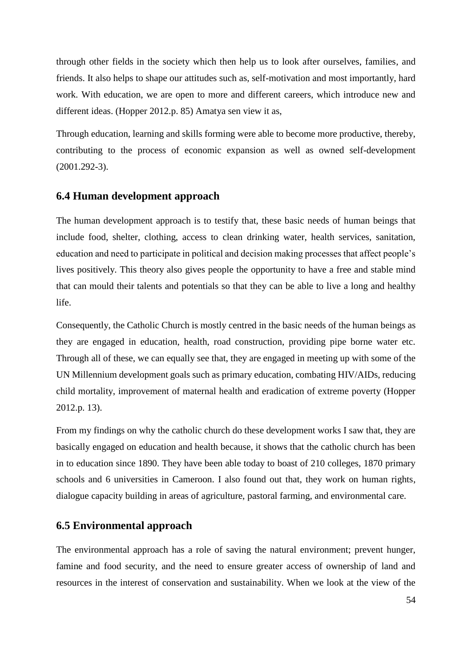through other fields in the society which then help us to look after ourselves, families, and friends. It also helps to shape our attitudes such as, self-motivation and most importantly, hard work. With education, we are open to more and different careers, which introduce new and different ideas. (Hopper 2012.p. 85) Amatya sen view it as,

Through education, learning and skills forming were able to become more productive, thereby, contributing to the process of economic expansion as well as owned self-development (2001.292-3).

## **6.4 Human development approach**

The human development approach is to testify that, these basic needs of human beings that include food, shelter, clothing, access to clean drinking water, health services, sanitation, education and need to participate in political and decision making processes that affect people's lives positively. This theory also gives people the opportunity to have a free and stable mind that can mould their talents and potentials so that they can be able to live a long and healthy life.

Consequently, the Catholic Church is mostly centred in the basic needs of the human beings as they are engaged in education, health, road construction, providing pipe borne water etc. Through all of these, we can equally see that, they are engaged in meeting up with some of the UN Millennium development goals such as primary education, combating HIV/AIDs, reducing child mortality, improvement of maternal health and eradication of extreme poverty (Hopper 2012.p. 13).

From my findings on why the catholic church do these development works I saw that, they are basically engaged on education and health because, it shows that the catholic church has been in to education since 1890. They have been able today to boast of 210 colleges, 1870 primary schools and 6 universities in Cameroon. I also found out that, they work on human rights, dialogue capacity building in areas of agriculture, pastoral farming, and environmental care.

## **6.5 Environmental approach**

The environmental approach has a role of saving the natural environment; prevent hunger, famine and food security, and the need to ensure greater access of ownership of land and resources in the interest of conservation and sustainability. When we look at the view of the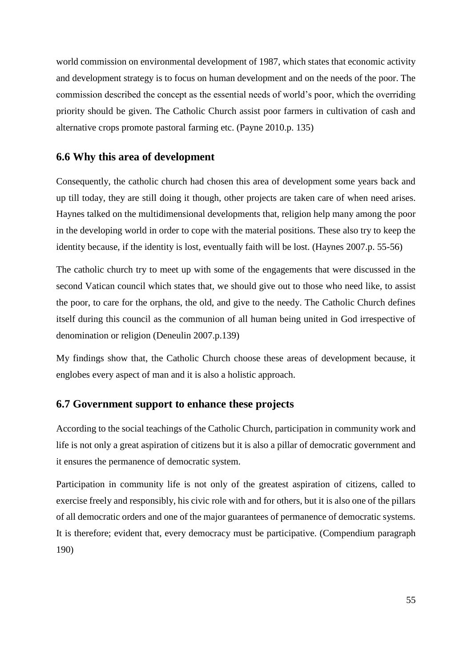world commission on environmental development of 1987, which states that economic activity and development strategy is to focus on human development and on the needs of the poor. The commission described the concept as the essential needs of world's poor, which the overriding priority should be given. The Catholic Church assist poor farmers in cultivation of cash and alternative crops promote pastoral farming etc. (Payne 2010.p. 135)

## **6.6 Why this area of development**

Consequently, the catholic church had chosen this area of development some years back and up till today, they are still doing it though, other projects are taken care of when need arises. Haynes talked on the multidimensional developments that, religion help many among the poor in the developing world in order to cope with the material positions. These also try to keep the identity because, if the identity is lost, eventually faith will be lost. (Haynes 2007.p. 55-56)

The catholic church try to meet up with some of the engagements that were discussed in the second Vatican council which states that, we should give out to those who need like, to assist the poor, to care for the orphans, the old, and give to the needy. The Catholic Church defines itself during this council as the communion of all human being united in God irrespective of denomination or religion (Deneulin 2007.p.139)

My findings show that, the Catholic Church choose these areas of development because, it englobes every aspect of man and it is also a holistic approach.

## **6.7 Government support to enhance these projects**

According to the social teachings of the Catholic Church, participation in community work and life is not only a great aspiration of citizens but it is also a pillar of democratic government and it ensures the permanence of democratic system.

Participation in community life is not only of the greatest aspiration of citizens, called to exercise freely and responsibly, his civic role with and for others, but it is also one of the pillars of all democratic orders and one of the major guarantees of permanence of democratic systems. It is therefore; evident that, every democracy must be participative. (Compendium paragraph 190)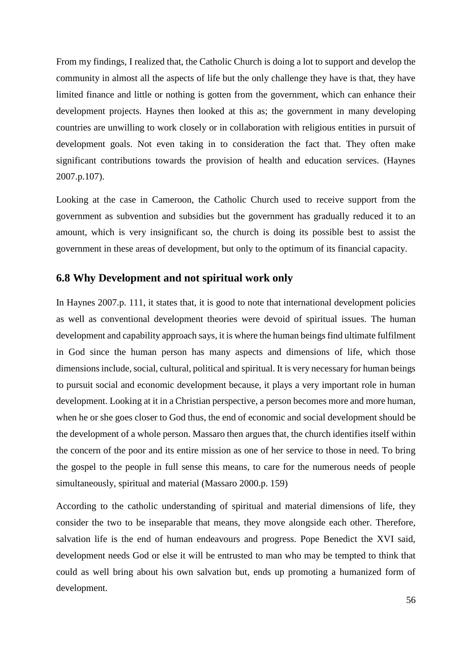From my findings, I realized that, the Catholic Church is doing a lot to support and develop the community in almost all the aspects of life but the only challenge they have is that, they have limited finance and little or nothing is gotten from the government, which can enhance their development projects. Haynes then looked at this as; the government in many developing countries are unwilling to work closely or in collaboration with religious entities in pursuit of development goals. Not even taking in to consideration the fact that. They often make significant contributions towards the provision of health and education services. (Haynes 2007.p.107).

Looking at the case in Cameroon, the Catholic Church used to receive support from the government as subvention and subsidies but the government has gradually reduced it to an amount, which is very insignificant so, the church is doing its possible best to assist the government in these areas of development, but only to the optimum of its financial capacity.

## **6.8 Why Development and not spiritual work only**

In Haynes 2007.p. 111, it states that, it is good to note that international development policies as well as conventional development theories were devoid of spiritual issues. The human development and capability approach says, it is where the human beings find ultimate fulfilment in God since the human person has many aspects and dimensions of life, which those dimensions include, social, cultural, political and spiritual. It is very necessary for human beings to pursuit social and economic development because, it plays a very important role in human development. Looking at it in a Christian perspective, a person becomes more and more human, when he or she goes closer to God thus, the end of economic and social development should be the development of a whole person. Massaro then argues that, the church identifies itself within the concern of the poor and its entire mission as one of her service to those in need. To bring the gospel to the people in full sense this means, to care for the numerous needs of people simultaneously, spiritual and material (Massaro 2000.p. 159)

According to the catholic understanding of spiritual and material dimensions of life, they consider the two to be inseparable that means, they move alongside each other. Therefore, salvation life is the end of human endeavours and progress. Pope Benedict the XVI said, development needs God or else it will be entrusted to man who may be tempted to think that could as well bring about his own salvation but, ends up promoting a humanized form of development.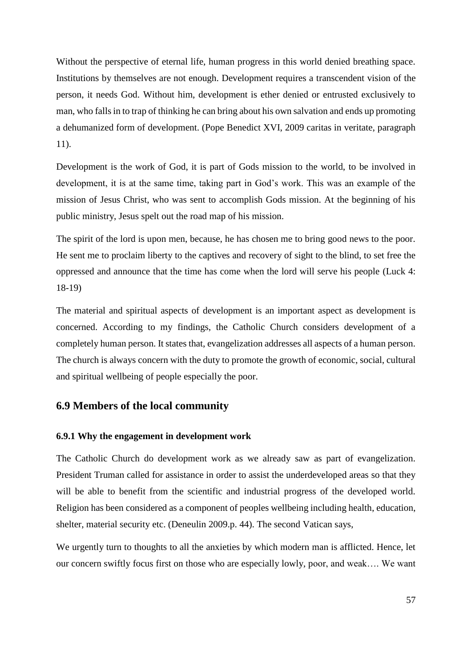Without the perspective of eternal life, human progress in this world denied breathing space. Institutions by themselves are not enough. Development requires a transcendent vision of the person, it needs God. Without him, development is ether denied or entrusted exclusively to man, who falls in to trap of thinking he can bring about his own salvation and ends up promoting a dehumanized form of development. (Pope Benedict XVI, 2009 caritas in veritate, paragraph 11).

Development is the work of God, it is part of Gods mission to the world, to be involved in development, it is at the same time, taking part in God's work. This was an example of the mission of Jesus Christ, who was sent to accomplish Gods mission. At the beginning of his public ministry, Jesus spelt out the road map of his mission.

The spirit of the lord is upon men, because, he has chosen me to bring good news to the poor. He sent me to proclaim liberty to the captives and recovery of sight to the blind, to set free the oppressed and announce that the time has come when the lord will serve his people (Luck 4: 18-19)

The material and spiritual aspects of development is an important aspect as development is concerned. According to my findings, the Catholic Church considers development of a completely human person. It states that, evangelization addresses all aspects of a human person. The church is always concern with the duty to promote the growth of economic, social, cultural and spiritual wellbeing of people especially the poor.

## **6.9 Members of the local community**

#### **6.9.1 Why the engagement in development work**

The Catholic Church do development work as we already saw as part of evangelization. President Truman called for assistance in order to assist the underdeveloped areas so that they will be able to benefit from the scientific and industrial progress of the developed world. Religion has been considered as a component of peoples wellbeing including health, education, shelter, material security etc. (Deneulin 2009.p. 44). The second Vatican says,

We urgently turn to thoughts to all the anxieties by which modern man is afflicted. Hence, let our concern swiftly focus first on those who are especially lowly, poor, and weak…. We want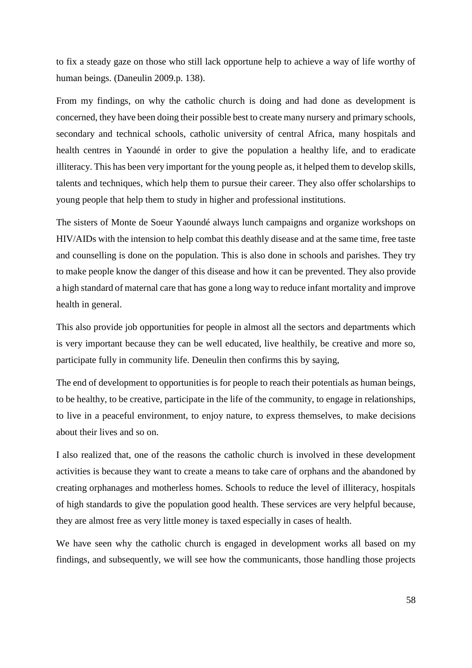to fix a steady gaze on those who still lack opportune help to achieve a way of life worthy of human beings. (Daneulin 2009.p. 138).

From my findings, on why the catholic church is doing and had done as development is concerned, they have been doing their possible best to create many nursery and primary schools, secondary and technical schools, catholic university of central Africa, many hospitals and health centres in Yaoundé in order to give the population a healthy life, and to eradicate illiteracy. This has been very important for the young people as, it helped them to develop skills, talents and techniques, which help them to pursue their career. They also offer scholarships to young people that help them to study in higher and professional institutions.

The sisters of Monte de Soeur Yaoundé always lunch campaigns and organize workshops on HIV/AIDs with the intension to help combat this deathly disease and at the same time, free taste and counselling is done on the population. This is also done in schools and parishes. They try to make people know the danger of this disease and how it can be prevented. They also provide a high standard of maternal care that has gone a long way to reduce infant mortality and improve health in general.

This also provide job opportunities for people in almost all the sectors and departments which is very important because they can be well educated, live healthily, be creative and more so, participate fully in community life. Deneulin then confirms this by saying,

The end of development to opportunities is for people to reach their potentials as human beings, to be healthy, to be creative, participate in the life of the community, to engage in relationships, to live in a peaceful environment, to enjoy nature, to express themselves, to make decisions about their lives and so on.

I also realized that, one of the reasons the catholic church is involved in these development activities is because they want to create a means to take care of orphans and the abandoned by creating orphanages and motherless homes. Schools to reduce the level of illiteracy, hospitals of high standards to give the population good health. These services are very helpful because, they are almost free as very little money is taxed especially in cases of health.

We have seen why the catholic church is engaged in development works all based on my findings, and subsequently, we will see how the communicants, those handling those projects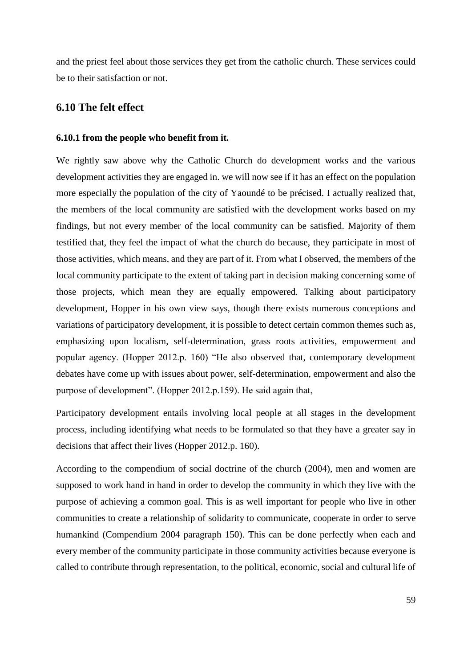and the priest feel about those services they get from the catholic church. These services could be to their satisfaction or not.

### **6.10 The felt effect**

#### **6.10.1 from the people who benefit from it.**

We rightly saw above why the Catholic Church do development works and the various development activities they are engaged in. we will now see if it has an effect on the population more especially the population of the city of Yaoundé to be précised. I actually realized that, the members of the local community are satisfied with the development works based on my findings, but not every member of the local community can be satisfied. Majority of them testified that, they feel the impact of what the church do because, they participate in most of those activities, which means, and they are part of it. From what I observed, the members of the local community participate to the extent of taking part in decision making concerning some of those projects, which mean they are equally empowered. Talking about participatory development, Hopper in his own view says, though there exists numerous conceptions and variations of participatory development, it is possible to detect certain common themes such as, emphasizing upon localism, self-determination, grass roots activities, empowerment and popular agency. (Hopper 2012.p. 160) "He also observed that, contemporary development debates have come up with issues about power, self-determination, empowerment and also the purpose of development". (Hopper 2012.p.159). He said again that,

Participatory development entails involving local people at all stages in the development process, including identifying what needs to be formulated so that they have a greater say in decisions that affect their lives (Hopper 2012.p. 160).

According to the compendium of social doctrine of the church (2004), men and women are supposed to work hand in hand in order to develop the community in which they live with the purpose of achieving a common goal. This is as well important for people who live in other communities to create a relationship of solidarity to communicate, cooperate in order to serve humankind (Compendium 2004 paragraph 150). This can be done perfectly when each and every member of the community participate in those community activities because everyone is called to contribute through representation, to the political, economic, social and cultural life of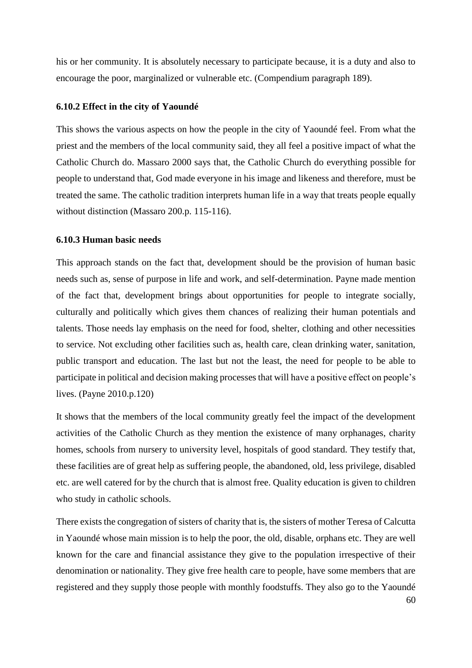his or her community. It is absolutely necessary to participate because, it is a duty and also to encourage the poor, marginalized or vulnerable etc. (Compendium paragraph 189).

#### **6.10.2 Effect in the city of Yaoundé**

This shows the various aspects on how the people in the city of Yaoundé feel. From what the priest and the members of the local community said, they all feel a positive impact of what the Catholic Church do. Massaro 2000 says that, the Catholic Church do everything possible for people to understand that, God made everyone in his image and likeness and therefore, must be treated the same. The catholic tradition interprets human life in a way that treats people equally without distinction (Massaro 200.p. 115-116).

### **6.10.3 Human basic needs**

This approach stands on the fact that, development should be the provision of human basic needs such as, sense of purpose in life and work, and self-determination. Payne made mention of the fact that, development brings about opportunities for people to integrate socially, culturally and politically which gives them chances of realizing their human potentials and talents. Those needs lay emphasis on the need for food, shelter, clothing and other necessities to service. Not excluding other facilities such as, health care, clean drinking water, sanitation, public transport and education. The last but not the least, the need for people to be able to participate in political and decision making processes that will have a positive effect on people's lives. (Payne 2010.p.120)

It shows that the members of the local community greatly feel the impact of the development activities of the Catholic Church as they mention the existence of many orphanages, charity homes, schools from nursery to university level, hospitals of good standard. They testify that, these facilities are of great help as suffering people, the abandoned, old, less privilege, disabled etc. are well catered for by the church that is almost free. Quality education is given to children who study in catholic schools.

There exists the congregation of sisters of charity that is, the sisters of mother Teresa of Calcutta in Yaoundé whose main mission is to help the poor, the old, disable, orphans etc. They are well known for the care and financial assistance they give to the population irrespective of their denomination or nationality. They give free health care to people, have some members that are registered and they supply those people with monthly foodstuffs. They also go to the Yaoundé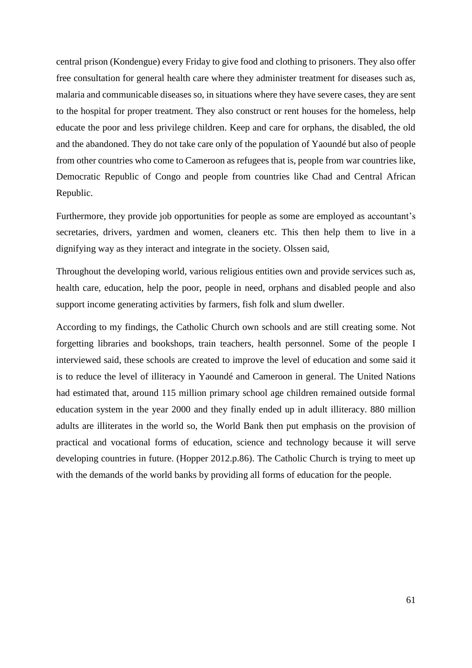central prison (Kondengue) every Friday to give food and clothing to prisoners. They also offer free consultation for general health care where they administer treatment for diseases such as, malaria and communicable diseases so, in situations where they have severe cases, they are sent to the hospital for proper treatment. They also construct or rent houses for the homeless, help educate the poor and less privilege children. Keep and care for orphans, the disabled, the old and the abandoned. They do not take care only of the population of Yaoundé but also of people from other countries who come to Cameroon as refugees that is, people from war countries like, Democratic Republic of Congo and people from countries like Chad and Central African Republic.

Furthermore, they provide job opportunities for people as some are employed as accountant's secretaries, drivers, yardmen and women, cleaners etc. This then help them to live in a dignifying way as they interact and integrate in the society. Olssen said,

Throughout the developing world, various religious entities own and provide services such as, health care, education, help the poor, people in need, orphans and disabled people and also support income generating activities by farmers, fish folk and slum dweller.

According to my findings, the Catholic Church own schools and are still creating some. Not forgetting libraries and bookshops, train teachers, health personnel. Some of the people I interviewed said, these schools are created to improve the level of education and some said it is to reduce the level of illiteracy in Yaoundé and Cameroon in general. The United Nations had estimated that, around 115 million primary school age children remained outside formal education system in the year 2000 and they finally ended up in adult illiteracy. 880 million adults are illiterates in the world so, the World Bank then put emphasis on the provision of practical and vocational forms of education, science and technology because it will serve developing countries in future. (Hopper 2012.p.86). The Catholic Church is trying to meet up with the demands of the world banks by providing all forms of education for the people.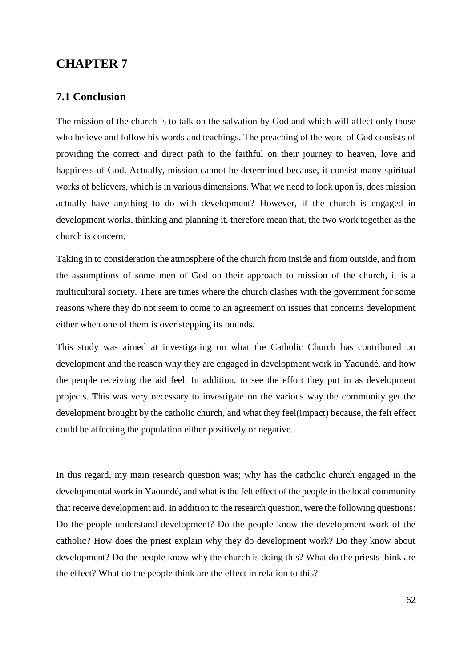# **CHAPTER 7**

## **7.1 Conclusion**

The mission of the church is to talk on the salvation by God and which will affect only those who believe and follow his words and teachings. The preaching of the word of God consists of providing the correct and direct path to the faithful on their journey to heaven, love and happiness of God. Actually, mission cannot be determined because, it consist many spiritual works of believers, which is in various dimensions. What we need to look upon is, does mission actually have anything to do with development? However, if the church is engaged in development works, thinking and planning it, therefore mean that, the two work together as the church is concern.

Taking in to consideration the atmosphere of the church from inside and from outside, and from the assumptions of some men of God on their approach to mission of the church, it is a multicultural society. There are times where the church clashes with the government for some reasons where they do not seem to come to an agreement on issues that concerns development either when one of them is over stepping its bounds.

This study was aimed at investigating on what the Catholic Church has contributed on development and the reason why they are engaged in development work in Yaoundé, and how the people receiving the aid feel. In addition, to see the effort they put in as development projects. This was very necessary to investigate on the various way the community get the development brought by the catholic church, and what they feel(impact) because, the felt effect could be affecting the population either positively or negative.

In this regard, my main research question was; why has the catholic church engaged in the developmental work in Yaoundé, and what is the felt effect of the people in the local community that receive development aid. In addition to the research question, were the following questions: Do the people understand development? Do the people know the development work of the catholic? How does the priest explain why they do development work? Do they know about development? Do the people know why the church is doing this? What do the priests think are the effect? What do the people think are the effect in relation to this?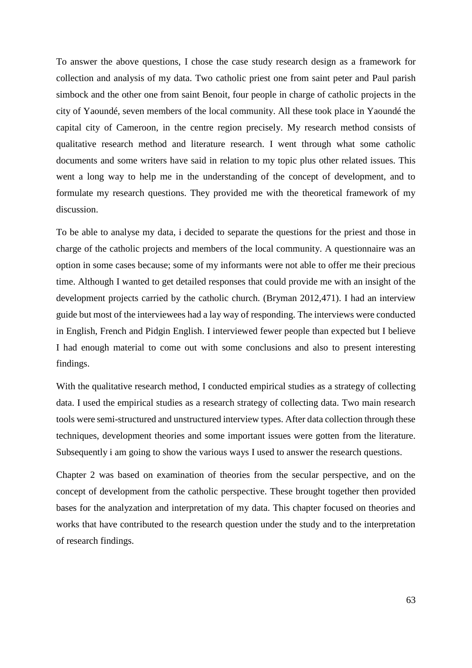To answer the above questions, I chose the case study research design as a framework for collection and analysis of my data. Two catholic priest one from saint peter and Paul parish simbock and the other one from saint Benoit, four people in charge of catholic projects in the city of Yaoundé, seven members of the local community. All these took place in Yaoundé the capital city of Cameroon, in the centre region precisely. My research method consists of qualitative research method and literature research. I went through what some catholic documents and some writers have said in relation to my topic plus other related issues. This went a long way to help me in the understanding of the concept of development, and to formulate my research questions. They provided me with the theoretical framework of my discussion.

To be able to analyse my data, i decided to separate the questions for the priest and those in charge of the catholic projects and members of the local community. A questionnaire was an option in some cases because; some of my informants were not able to offer me their precious time. Although I wanted to get detailed responses that could provide me with an insight of the development projects carried by the catholic church. (Bryman 2012,471). I had an interview guide but most of the interviewees had a lay way of responding. The interviews were conducted in English, French and Pidgin English. I interviewed fewer people than expected but I believe I had enough material to come out with some conclusions and also to present interesting findings.

With the qualitative research method, I conducted empirical studies as a strategy of collecting data. I used the empirical studies as a research strategy of collecting data. Two main research tools were semi-structured and unstructured interview types. After data collection through these techniques, development theories and some important issues were gotten from the literature. Subsequently i am going to show the various ways I used to answer the research questions.

Chapter 2 was based on examination of theories from the secular perspective, and on the concept of development from the catholic perspective. These brought together then provided bases for the analyzation and interpretation of my data. This chapter focused on theories and works that have contributed to the research question under the study and to the interpretation of research findings.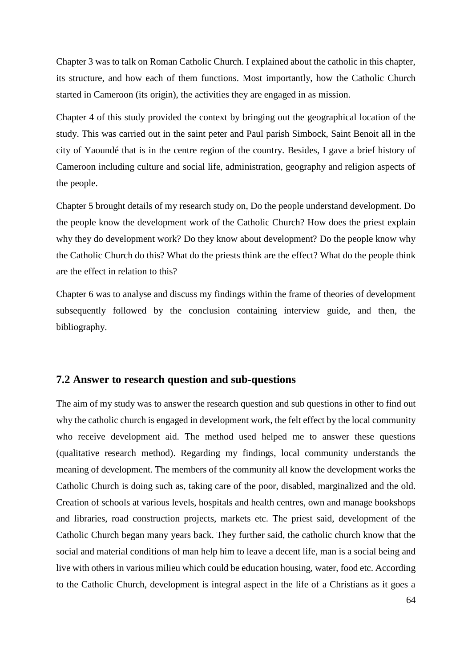Chapter 3 was to talk on Roman Catholic Church. I explained about the catholic in this chapter, its structure, and how each of them functions. Most importantly, how the Catholic Church started in Cameroon (its origin), the activities they are engaged in as mission.

Chapter 4 of this study provided the context by bringing out the geographical location of the study. This was carried out in the saint peter and Paul parish Simbock, Saint Benoit all in the city of Yaoundé that is in the centre region of the country. Besides, I gave a brief history of Cameroon including culture and social life, administration, geography and religion aspects of the people.

Chapter 5 brought details of my research study on, Do the people understand development. Do the people know the development work of the Catholic Church? How does the priest explain why they do development work? Do they know about development? Do the people know why the Catholic Church do this? What do the priests think are the effect? What do the people think are the effect in relation to this?

Chapter 6 was to analyse and discuss my findings within the frame of theories of development subsequently followed by the conclusion containing interview guide, and then, the bibliography.

## **7.2 Answer to research question and sub-questions**

The aim of my study was to answer the research question and sub questions in other to find out why the catholic church is engaged in development work, the felt effect by the local community who receive development aid. The method used helped me to answer these questions (qualitative research method). Regarding my findings, local community understands the meaning of development. The members of the community all know the development works the Catholic Church is doing such as, taking care of the poor, disabled, marginalized and the old. Creation of schools at various levels, hospitals and health centres, own and manage bookshops and libraries, road construction projects, markets etc. The priest said, development of the Catholic Church began many years back. They further said, the catholic church know that the social and material conditions of man help him to leave a decent life, man is a social being and live with others in various milieu which could be education housing, water, food etc. According to the Catholic Church, development is integral aspect in the life of a Christians as it goes a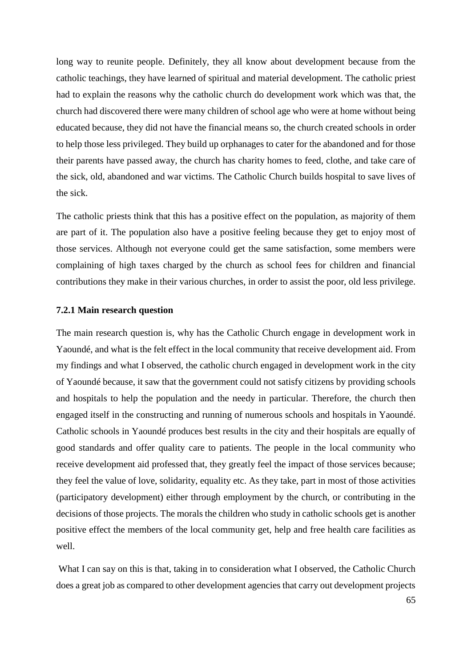long way to reunite people. Definitely, they all know about development because from the catholic teachings, they have learned of spiritual and material development. The catholic priest had to explain the reasons why the catholic church do development work which was that, the church had discovered there were many children of school age who were at home without being educated because, they did not have the financial means so, the church created schools in order to help those less privileged. They build up orphanages to cater for the abandoned and for those their parents have passed away, the church has charity homes to feed, clothe, and take care of the sick, old, abandoned and war victims. The Catholic Church builds hospital to save lives of the sick.

The catholic priests think that this has a positive effect on the population, as majority of them are part of it. The population also have a positive feeling because they get to enjoy most of those services. Although not everyone could get the same satisfaction, some members were complaining of high taxes charged by the church as school fees for children and financial contributions they make in their various churches, in order to assist the poor, old less privilege.

#### **7.2.1 Main research question**

The main research question is, why has the Catholic Church engage in development work in Yaoundé, and what is the felt effect in the local community that receive development aid. From my findings and what I observed, the catholic church engaged in development work in the city of Yaoundé because, it saw that the government could not satisfy citizens by providing schools and hospitals to help the population and the needy in particular. Therefore, the church then engaged itself in the constructing and running of numerous schools and hospitals in Yaoundé. Catholic schools in Yaoundé produces best results in the city and their hospitals are equally of good standards and offer quality care to patients. The people in the local community who receive development aid professed that, they greatly feel the impact of those services because; they feel the value of love, solidarity, equality etc. As they take, part in most of those activities (participatory development) either through employment by the church, or contributing in the decisions of those projects. The morals the children who study in catholic schools get is another positive effect the members of the local community get, help and free health care facilities as well.

What I can say on this is that, taking in to consideration what I observed, the Catholic Church does a great job as compared to other development agencies that carry out development projects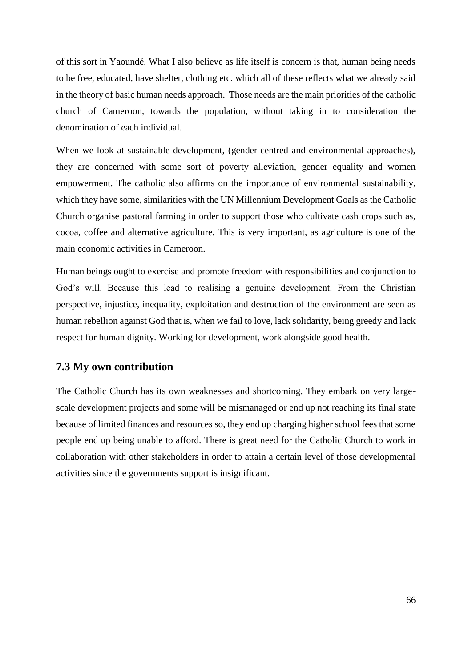of this sort in Yaoundé. What I also believe as life itself is concern is that, human being needs to be free, educated, have shelter, clothing etc. which all of these reflects what we already said in the theory of basic human needs approach. Those needs are the main priorities of the catholic church of Cameroon, towards the population, without taking in to consideration the denomination of each individual.

When we look at sustainable development, (gender-centred and environmental approaches), they are concerned with some sort of poverty alleviation, gender equality and women empowerment. The catholic also affirms on the importance of environmental sustainability, which they have some, similarities with the UN Millennium Development Goals as the Catholic Church organise pastoral farming in order to support those who cultivate cash crops such as, cocoa, coffee and alternative agriculture. This is very important, as agriculture is one of the main economic activities in Cameroon.

Human beings ought to exercise and promote freedom with responsibilities and conjunction to God's will. Because this lead to realising a genuine development. From the Christian perspective, injustice, inequality, exploitation and destruction of the environment are seen as human rebellion against God that is, when we fail to love, lack solidarity, being greedy and lack respect for human dignity. Working for development, work alongside good health.

### **7.3 My own contribution**

The Catholic Church has its own weaknesses and shortcoming. They embark on very largescale development projects and some will be mismanaged or end up not reaching its final state because of limited finances and resources so, they end up charging higher school fees that some people end up being unable to afford. There is great need for the Catholic Church to work in collaboration with other stakeholders in order to attain a certain level of those developmental activities since the governments support is insignificant.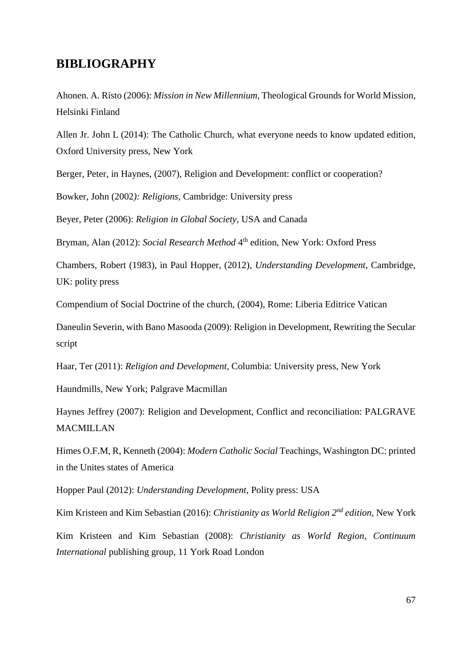# **BIBLIOGRAPHY**

Ahonen. A. Risto (2006): *Mission in New Millennium*, Theological Grounds for World Mission, Helsinki Finland

Allen Jr. John L (2014): The Catholic Church, what everyone needs to know updated edition, Oxford University press, New York

Berger, Peter, in Haynes, (2007), Religion and Development: conflict or cooperation?

Bowker, John (2002*): Religions*, Cambridge: University press

Beyer, Peter (2006): *Religion in Global Society*, USA and Canada

Bryman, Alan (2012): *Social Research Method* 4<sup>th</sup> edition, New York: Oxford Press

Chambers, Robert (1983), in Paul Hopper, (2012), *Understanding Development*, Cambridge, UK: polity press

Compendium of Social Doctrine of the church, (2004), Rome: Liberia Editrice Vatican

Daneulin Severin, with Bano Masooda (2009): Religion in Development, Rewriting the Secular script

Haar, Ter (2011): *Religion and Development*, Columbia: University press, New York

Haundmills, New York; Palgrave Macmillan

Haynes Jeffrey (2007): Religion and Development, Conflict and reconciliation: PALGRAVE MACMILLAN

Himes O.F.M, R, Kenneth (2004): *Modern Catholic Social* Teachings, Washington DC: printed in the Unites states of America

Hopper Paul (2012): *Understanding Development*, Polity press: USA

Kim Kristeen and Kim Sebastian (2016): *Christianity as World Religion 2nd edition*, New York Kim Kristeen and Kim Sebastian (2008): *Christianity as World Region, Continuum International* publishing group, 11 York Road London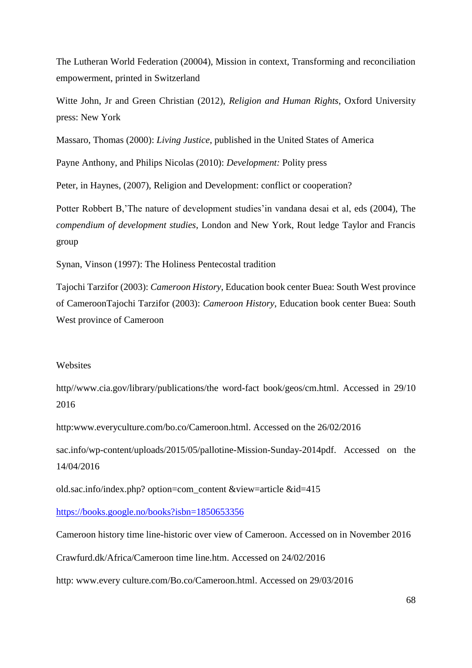The Lutheran World Federation (20004), Mission in context, Transforming and reconciliation empowerment, printed in Switzerland

Witte John, Jr and Green Christian (2012), *Religion and Human Rights*, Oxford University press: New York

Massaro, Thomas (2000): *Living Justice*, published in the United States of America

Payne Anthony, and Philips Nicolas (2010): *Development:* Polity press

Peter, in Haynes, (2007), Religion and Development: conflict or cooperation?

Potter Robbert B,'The nature of development studies'in vandana desai et al, eds (2004), The *compendium of development studies*, London and New York, Rout ledge Taylor and Francis group

Synan, Vinson (1997): The Holiness Pentecostal tradition

Tajochi Tarzifor (2003): *Cameroon History*, Education book center Buea: South West province of CameroonTajochi Tarzifor (2003): *Cameroon History*, Education book center Buea: South West province of Cameroon

#### **Websites**

http//www.cia.gov/library/publications/the word-fact book/geos/cm.html. Accessed in 29/10 2016

http:www.everyculture.com/bo.co/Cameroon.html. Accessed on the 26/02/2016

sac.info/wp-content/uploads/2015/05/pallotine-Mission-Sunday-2014pdf. Accessed on the 14/04/2016

old.sac.info/index.php? option=com\_content &view=article &id=415

<https://books.google.no/books?isbn=1850653356>

Cameroon history time line-historic over view of Cameroon. Accessed on in November 2016

Crawfurd.dk/Africa/Cameroon time line.htm. Accessed on 24/02/2016

http: www.every culture.com/Bo.co/Cameroon.html. Accessed on 29/03/2016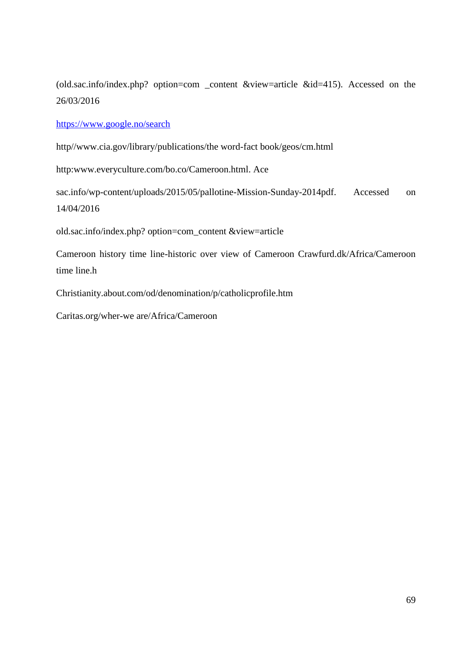(old.sac.info/index.php? option=com \_content &view=article &id=415). Accessed on the 26/03/2016

<https://www.google.no/search>

http//www.cia.gov/library/publications/the word-fact book/geos/cm.html

http:www.everyculture.com/bo.co/Cameroon.html. Ace

sac.info/wp-content/uploads/2015/05/pallotine-Mission-Sunday-2014pdf. Accessed on 14/04/2016

old.sac.info/index.php? option=com\_content &view=article

Cameroon history time line-historic over view of Cameroon Crawfurd.dk/Africa/Cameroon time line.h

Christianity.about.com/od/denomination/p/catholicprofile.htm

Caritas.org/wher-we are/Africa/Cameroon